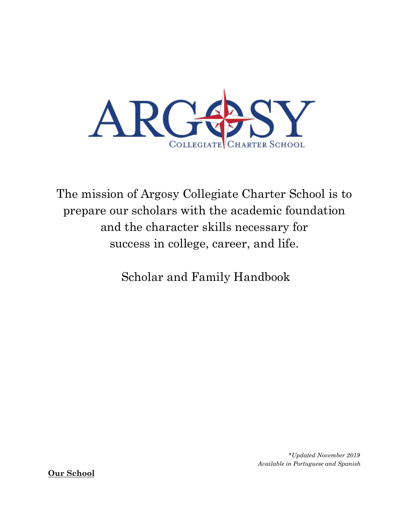

The mission of Argosy Collegiate Charter School is to prepare our scholars with the academic foundation and the character skills necessary for success in college, career, and life.

Scholar and Family Handbook

*\*Updated November 2019 Available in Portuguese and Spanish*

**Our School**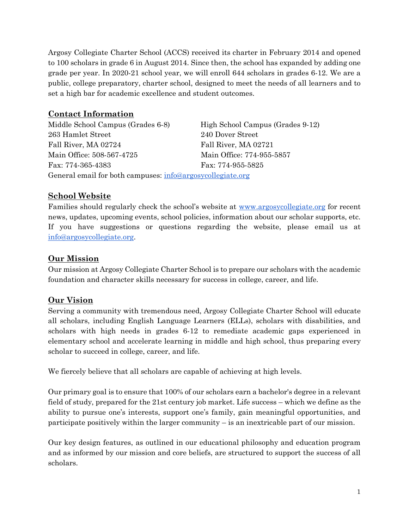Argosy Collegiate Charter School (ACCS) received its charter in February 2014 and opened to 100 scholars in grade 6 in August 2014. Since then, the school has expanded by adding one grade per year. In 2020-21 school year, we will enroll 644 scholars in grades 6-12. We are a public, college preparatory, charter school, designed to meet the needs of all learners and to set a high bar for academic excellence and student outcomes.

## **Contact Information**

| Middle School Campus (Grades 6-8)                          | High School Campus (Grades 9-12) |
|------------------------------------------------------------|----------------------------------|
| 263 Hamlet Street                                          | 240 Dover Street                 |
| Fall River, MA 02724                                       | Fall River, MA 02721             |
| Main Office: 508-567-4725                                  | Main Office: 774-955-5857        |
| Fax: 774-365-4383                                          | Fax: 774-955-5825                |
| General email for both campuses: info@argosycollegiate.org |                                  |

## **School Website**

Families should regularly check the school's website at [www.argosycollegiate.org](http://www.argosycollegiate.org/) for recent news, updates, upcoming events, school policies, information about our scholar supports, etc. If you have suggestions or questions regarding the website, please email us at [info@argosycollegiate.org.](mailto:info@argosycollegiate.org)

## **Our Mission**

Our mission at Argosy Collegiate Charter School is to prepare our scholars with the academic foundation and character skills necessary for success in college, career, and life.

## **Our Vision**

Serving a community with tremendous need, Argosy Collegiate Charter School will educate all scholars, including English Language Learners (ELLs), scholars with disabilities, and scholars with high needs in grades 6-12 to remediate academic gaps experienced in elementary school and accelerate learning in middle and high school, thus preparing every scholar to succeed in college, career, and life.

We fiercely believe that all scholars are capable of achieving at high levels.

Our primary goal is to ensure that 100% of our scholars earn a bachelor's degree in a relevant field of study, prepared for the 21st century job market. Life success – which we define as the ability to pursue one's interests, support one's family, gain meaningful opportunities, and participate positively within the larger community – is an inextricable part of our mission.

Our key design features, as outlined in our educational philosophy and education program and as informed by our mission and core beliefs, are structured to support the success of all scholars.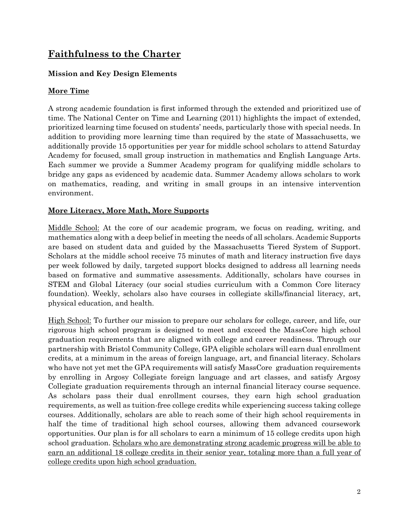# **Faithfulness to the Charter**

## **Mission and Key Design Elements**

## **More Time**

A strong academic foundation is first informed through the extended and prioritized use of time. The National Center on Time and Learning (2011) highlights the impact of extended, prioritized learning time focused on students' needs, particularly those with special needs. In addition to providing more learning time than required by the state of Massachusetts, we additionally provide 15 opportunities per year for middle school scholars to attend Saturday Academy for focused, small group instruction in mathematics and English Language Arts. Each summer we provide a Summer Academy program for qualifying middle scholars to bridge any gaps as evidenced by academic data. Summer Academy allows scholars to work on mathematics, reading, and writing in small groups in an intensive intervention environment.

### **More Literacy, More Math, More Supports**

Middle School: At the core of our academic program, we focus on reading, writing, and mathematics along with a deep belief in meeting the needs of all scholars. Academic Supports are based on student data and guided by the Massachusetts Tiered System of Support. Scholars at the middle school receive 75 minutes of math and literacy instruction five days per week followed by daily, targeted support blocks designed to address all learning needs based on formative and summative assessments. Additionally, scholars have courses in STEM and Global Literacy (our social studies curriculum with a Common Core literacy foundation). Weekly, scholars also have courses in collegiate skills/financial literacy, art, physical education, and health.

High School: To further our mission to prepare our scholars for college, career, and life, our rigorous high school program is designed to meet and exceed the MassCore high school graduation requirements that are aligned with college and career readiness. Through our partnership with Bristol Community College, GPA eligible scholars will earn dual enrollment credits, at a minimum in the areas of foreign language, art, and financial literacy. Scholars who have not yet met the GPA requirements will satisfy MassCore graduation requirements by enrolling in Argosy Collegiate foreign language and art classes, and satisfy Argosy Collegiate graduation requirements through an internal financial literacy course sequence. As scholars pass their dual enrollment courses, they earn high school graduation requirements, as well as tuition-free college credits while experiencing success taking college courses. Additionally, scholars are able to reach some of their high school requirements in half the time of traditional high school courses, allowing them advanced coursework opportunities. Our plan is for all scholars to earn a minimum of 15 college credits upon high school graduation. Scholars who are demonstrating strong academic progress will be able to earn an additional 18 college credits in their senior year, totaling more than a full year of college credits upon high school graduation.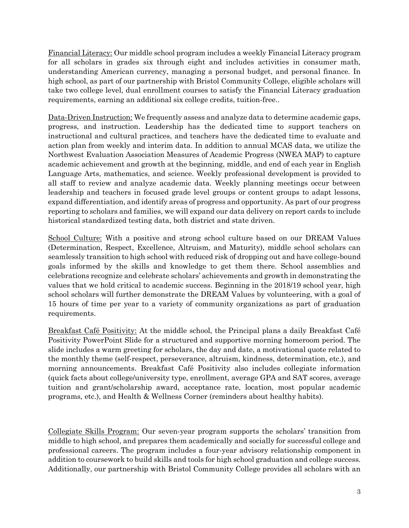Financial Literacy: Our middle school program includes a weekly Financial Literacy program for all scholars in grades six through eight and includes activities in consumer math, understanding American currency, managing a personal budget, and personal finance. In high school, as part of our partnership with Bristol Community College, eligible scholars will take two college level, dual enrollment courses to satisfy the Financial Literacy graduation requirements, earning an additional six college credits, tuition-free..

Data-Driven Instruction: We frequently assess and analyze data to determine academic gaps, progress, and instruction. Leadership has the dedicated time to support teachers on instructional and cultural practices, and teachers have the dedicated time to evaluate and action plan from weekly and interim data. In addition to annual MCAS data, we utilize the Northwest Evaluation Association Measures of Academic Progress (NWEA MAP) to capture academic achievement and growth at the beginning, middle, and end of each year in English Language Arts, mathematics, and science. Weekly professional development is provided to all staff to review and analyze academic data. Weekly planning meetings occur between leadership and teachers in focused grade level groups or content groups to adapt lessons, expand differentiation, and identify areas of progress and opportunity. As part of our progress reporting to scholars and families, we will expand our data delivery on report cards to include historical standardized testing data, both district and state driven.

School Culture: With a positive and strong school culture based on our DREAM Values (Determination, Respect, Excellence, Altruism, and Maturity), middle school scholars can seamlessly transition to high school with reduced risk of dropping out and have college-bound goals informed by the skills and knowledge to get them there. School assemblies and celebrations recognize and celebrate scholars' achievements and growth in demonstrating the values that we hold critical to academic success. Beginning in the 2018/19 school year, high school scholars will further demonstrate the DREAM Values by volunteering, with a goal of 15 hours of time per year to a variety of community organizations as part of graduation requirements.

Breakfast Café Positivity: At the middle school, the Principal plans a daily Breakfast Café Positivity PowerPoint Slide for a structured and supportive morning homeroom period. The slide includes a warm greeting for scholars, the day and date, a motivational quote related to the monthly theme (self-respect, perseverance, altruism, kindness, determination, etc.), and morning announcements. Breakfast Café Positivity also includes collegiate information (quick facts about college/university type, enrollment, average GPA and SAT scores, average tuition and grant/scholarship award, acceptance rate, location, most popular academic programs, etc.), and Health & Wellness Corner (reminders about healthy habits).

Collegiate Skills Program: Our seven-year program supports the scholars' transition from middle to high school, and prepares them academically and socially for successful college and professional careers. The program includes a four-year advisory relationship component in addition to coursework to build skills and tools for high school graduation and college success. Additionally, our partnership with Bristol Community College provides all scholars with an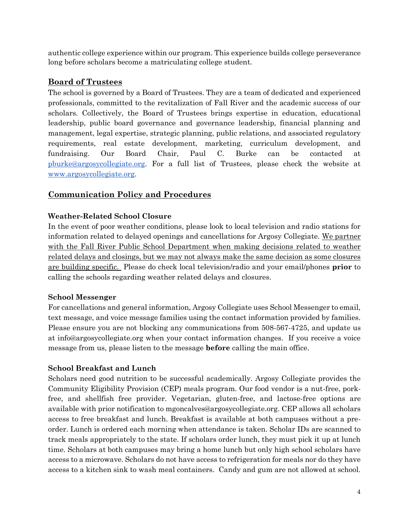authentic college experience within our program. This experience builds college perseverance long before scholars become a matriculating college student.

## **Board of Trustees**

The school is governed by a Board of Trustees. They are a team of dedicated and experienced professionals, committed to the revitalization of Fall River and the academic success of our scholars. Collectively, the Board of Trustees brings expertise in education, educational leadership, public board governance and governance leadership, financial planning and management, legal expertise, strategic planning, public relations, and associated regulatory requirements, real estate development, marketing, curriculum development, and fundraising. Our Board Chair, Paul C. Burke can be contacted at [pburke@argosycollegiate.org.](mailto:pburke@argosycollegiate.org) For a full list of Trustees, please check the website at [www.argosycollegiate.org.](http://www.argosycollegiate.org/)

## **Communication Policy and Procedures**

### **Weather-Related School Closure**

In the event of poor weather conditions, please look to local television and radio stations for information related to delayed openings and cancellations for Argosy Collegiate. We partner with the Fall River Public School Department when making decisions related to weather related delays and closings, but we may not always make the same decision as some closures are building specific. Please do check local television/radio and your email/phones **prior** to calling the schools regarding weather related delays and closures.

### **School Messenger**

For cancellations and general information, Argosy Collegiate uses School Messenger to email, text message, and voice message families using the contact information provided by families. Please ensure you are not blocking any communications from 508-567-4725, and update us at info@argosycollegiate.org when your contact information changes. If you receive a voice message from us, please listen to the message **before** calling the main office.

### **School Breakfast and Lunch**

Scholars need good nutrition to be successful academically. Argosy Collegiate provides the Community Eligibility Provision (CEP) meals program. Our food vendor is a nut-free, porkfree, and shellfish free provider. Vegetarian, gluten-free, and lactose-free options are available with prior notification to mgoncalves@argosycollegiate.org. CEP allows all scholars access to free breakfast and lunch. Breakfast is available at both campuses without a preorder. Lunch is ordered each morning when attendance is taken. Scholar IDs are scanned to track meals appropriately to the state. If scholars order lunch, they must pick it up at lunch time. Scholars at both campuses may bring a home lunch but only high school scholars have access to a microwave. Scholars do not have access to refrigeration for meals nor do they have access to a kitchen sink to wash meal containers. Candy and gum are not allowed at school.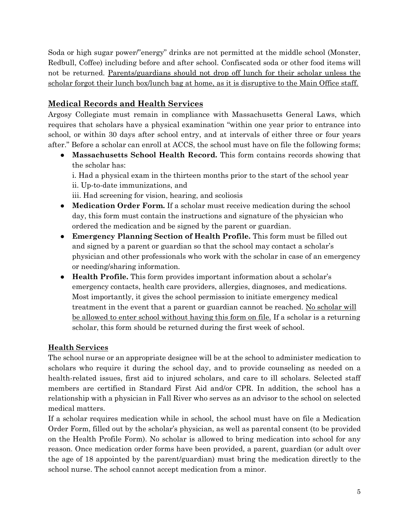Soda or high sugar power/"energy" drinks are not permitted at the middle school (Monster, Redbull, Coffee) including before and after school. Confiscated soda or other food items will not be returned. Parents/guardians should not drop off lunch for their scholar unless the scholar forgot their lunch box/lunch bag at home, as it is disruptive to the Main Office staff.

## **Medical Records and Health Services**

Argosy Collegiate must remain in compliance with Massachusetts General Laws, which requires that scholars have a physical examination "within one year prior to entrance into school, or within 30 days after school entry, and at intervals of either three or four years after." Before a scholar can enroll at ACCS, the school must have on file the following forms;

● **Massachusetts School Health Record.** This form contains records showing that the scholar has:

i. Had a physical exam in the thirteen months prior to the start of the school year ii. Up-to-date immunizations, and

iii. Had screening for vision, hearing, and scoliosis

- **Medication Order Form.** If a scholar must receive medication during the school day, this form must contain the instructions and signature of the physician who ordered the medication and be signed by the parent or guardian.
- **Emergency Planning Section of Health Profile.** This form must be filled out and signed by a parent or guardian so that the school may contact a scholar's physician and other professionals who work with the scholar in case of an emergency or needing/sharing information.
- **Health Profile.** This form provides important information about a scholar's emergency contacts, health care providers, allergies, diagnoses, and medications. Most importantly, it gives the school permission to initiate emergency medical treatment in the event that a parent or guardian cannot be reached. No scholar will be allowed to enter school without having this form on file. If a scholar is a returning scholar, this form should be returned during the first week of school.

## **Health Services**

The school nurse or an appropriate designee will be at the school to administer medication to scholars who require it during the school day, and to provide counseling as needed on a health-related issues, first aid to injured scholars, and care to ill scholars. Selected staff members are certified in Standard First Aid and/or CPR. In addition, the school has a relationship with a physician in Fall River who serves as an advisor to the school on selected medical matters.

If a scholar requires medication while in school, the school must have on file a Medication Order Form, filled out by the scholar's physician, as well as parental consent (to be provided on the Health Profile Form). No scholar is allowed to bring medication into school for any reason. Once medication order forms have been provided, a parent, guardian (or adult over the age of 18 appointed by the parent/guardian) must bring the medication directly to the school nurse. The school cannot accept medication from a minor.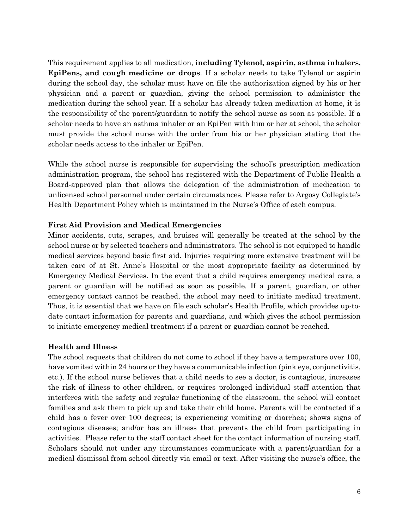This requirement applies to all medication, **including Tylenol, aspirin, asthma inhalers, EpiPens, and cough medicine or drops**. If a scholar needs to take Tylenol or aspirin during the school day, the scholar must have on file the authorization signed by his or her physician and a parent or guardian, giving the school permission to administer the medication during the school year. If a scholar has already taken medication at home, it is the responsibility of the parent/guardian to notify the school nurse as soon as possible. If a scholar needs to have an asthma inhaler or an EpiPen with him or her at school, the scholar must provide the school nurse with the order from his or her physician stating that the scholar needs access to the inhaler or EpiPen.

While the school nurse is responsible for supervising the school's prescription medication administration program, the school has registered with the Department of Public Health a Board-approved plan that allows the delegation of the administration of medication to unlicensed school personnel under certain circumstances. Please refer to Argosy Collegiate's Health Department Policy which is maintained in the Nurse's Office of each campus.

#### **First Aid Provision and Medical Emergencies**

Minor accidents, cuts, scrapes, and bruises will generally be treated at the school by the school nurse or by selected teachers and administrators. The school is not equipped to handle medical services beyond basic first aid. Injuries requiring more extensive treatment will be taken care of at St. Anne's Hospital or the most appropriate facility as determined by Emergency Medical Services. In the event that a child requires emergency medical care, a parent or guardian will be notified as soon as possible. If a parent, guardian, or other emergency contact cannot be reached, the school may need to initiate medical treatment. Thus, it is essential that we have on file each scholar's Health Profile, which provides up-todate contact information for parents and guardians, and which gives the school permission to initiate emergency medical treatment if a parent or guardian cannot be reached.

#### **Health and Illness**

The school requests that children do not come to school if they have a temperature over 100, have vomited within 24 hours or they have a communicable infection (pink eye, conjunctivitis, etc.). If the school nurse believes that a child needs to see a doctor, is contagious, increases the risk of illness to other children, or requires prolonged individual staff attention that interferes with the safety and regular functioning of the classroom, the school will contact families and ask them to pick up and take their child home. Parents will be contacted if a child has a fever over 100 degrees; is experiencing vomiting or diarrhea; shows signs of contagious diseases; and/or has an illness that prevents the child from participating in activities. Please refer to the staff contact sheet for the contact information of nursing staff. Scholars should not under any circumstances communicate with a parent/guardian for a medical dismissal from school directly via email or text. After visiting the nurse's office, the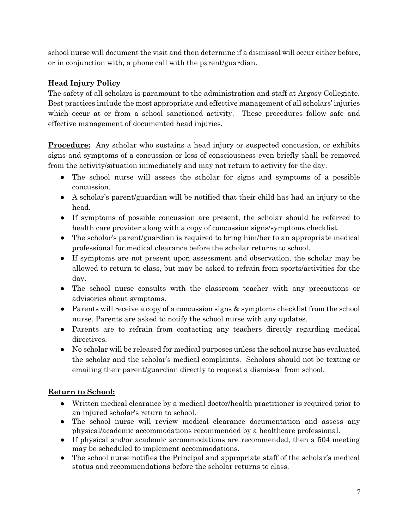school nurse will document the visit and then determine if a dismissal will occur either before, or in conjunction with, a phone call with the parent/guardian.

## **Head Injury Policy**

The safety of all scholars is paramount to the administration and staff at Argosy Collegiate. Best practices include the most appropriate and effective management of all scholars' injuries which occur at or from a school sanctioned activity. These procedures follow safe and effective management of documented head injuries.

**Procedure:** Any scholar who sustains a head injury or suspected concussion, or exhibits signs and symptoms of a concussion or loss of consciousness even briefly shall be removed from the activity/situation immediately and may not return to activity for the day.

- The school nurse will assess the scholar for signs and symptoms of a possible concussion.
- A scholar's parent/guardian will be notified that their child has had an injury to the head.
- If symptoms of possible concussion are present, the scholar should be referred to health care provider along with a copy of concussion signs/symptoms checklist.
- The scholar's parent/guardian is required to bring him/her to an appropriate medical professional for medical clearance before the scholar returns to school.
- If symptoms are not present upon assessment and observation, the scholar may be allowed to return to class, but may be asked to refrain from sports/activities for the day.
- The school nurse consults with the classroom teacher with any precautions or advisories about symptoms.
- Parents will receive a copy of a concussion signs  $\&$  symptoms checklist from the school nurse. Parents are asked to notify the school nurse with any updates.
- Parents are to refrain from contacting any teachers directly regarding medical directives.
- No scholar will be released for medical purposes unless the school nurse has evaluated the scholar and the scholar's medical complaints. Scholars should not be texting or emailing their parent/guardian directly to request a dismissal from school.

## **Return to School:**

- Written medical clearance by a medical doctor/health practitioner is required prior to an injured scholar's return to school.
- The school nurse will review medical clearance documentation and assess any physical/academic accommodations recommended by a healthcare professional.
- If physical and/or academic accommodations are recommended, then a 504 meeting may be scheduled to implement accommodations.
- The school nurse notifies the Principal and appropriate staff of the scholar's medical status and recommendations before the scholar returns to class.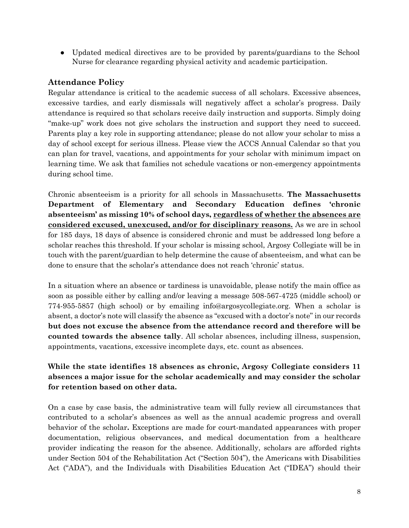● Updated medical directives are to be provided by parents/guardians to the School Nurse for clearance regarding physical activity and academic participation.

## **Attendance Policy**

Regular attendance is critical to the academic success of all scholars. Excessive absences, excessive tardies, and early dismissals will negatively affect a scholar's progress. Daily attendance is required so that scholars receive daily instruction and supports. Simply doing "make-up" work does not give scholars the instruction and support they need to succeed. Parents play a key role in supporting attendance; please do not allow your scholar to miss a day of school except for serious illness. Please view the ACCS Annual Calendar so that you can plan for travel, vacations, and appointments for your scholar with minimum impact on learning time. We ask that families not schedule vacations or non-emergency appointments during school time.

Chronic absenteeism is a priority for all schools in Massachusetts. **The Massachusetts Department of Elementary and Secondary Education defines 'chronic absenteeism' as missing 10% of school days, regardless of whether the absences are considered excused, unexcused, and/or for disciplinary reasons.** As we are in school for 185 days, 18 days of absence is considered chronic and must be addressed long before a scholar reaches this threshold. If your scholar is missing school, Argosy Collegiate will be in touch with the parent/guardian to help determine the cause of absenteeism, and what can be done to ensure that the scholar's attendance does not reach 'chronic' status.

In a situation where an absence or tardiness is unavoidable, please notify the main office as soon as possible either by calling and/or leaving a message 508-567-4725 (middle school) or 774-955-5857 (high school) or by emailing info@argosycollegiate.org. When a scholar is absent, a doctor's note will classify the absence as "excused with a doctor's note" in our records **but does not excuse the absence from the attendance record and therefore will be counted towards the absence tally**. All scholar absences, including illness, suspension, appointments, vacations, excessive incomplete days, etc. count as absences.

## **While the state identifies 18 absences as chronic, Argosy Collegiate considers 11 absences a major issue for the scholar academically and may consider the scholar for retention based on other data.**

On a case by case basis, the administrative team will fully review all circumstances that contributed to a scholar's absences as well as the annual academic progress and overall behavior of the scholar**.** Exceptions are made for court-mandated appearances with proper documentation, religious observances, and medical documentation from a healthcare provider indicating the reason for the absence. Additionally, scholars are afforded rights under Section 504 of the Rehabilitation Act ("Section 504"), the Americans with Disabilities Act ("ADA"), and the Individuals with Disabilities Education Act ("IDEA") should their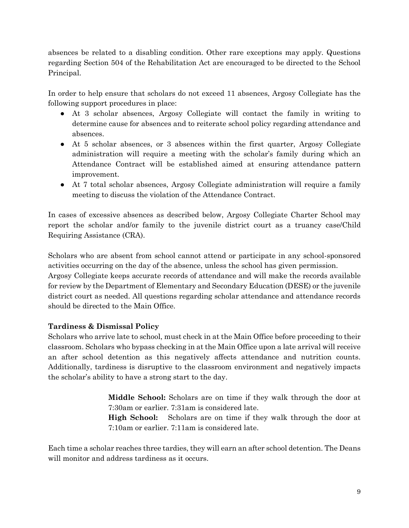absences be related to a disabling condition. Other rare exceptions may apply. Questions regarding Section 504 of the Rehabilitation Act are encouraged to be directed to the School Principal.

In order to help ensure that scholars do not exceed 11 absences, Argosy Collegiate has the following support procedures in place:

- At 3 scholar absences, Argosy Collegiate will contact the family in writing to determine cause for absences and to reiterate school policy regarding attendance and absences.
- At 5 scholar absences, or 3 absences within the first quarter, Argosy Collegiate administration will require a meeting with the scholar's family during which an Attendance Contract will be established aimed at ensuring attendance pattern improvement.
- At 7 total scholar absences, Argosy Collegiate administration will require a family meeting to discuss the violation of the Attendance Contract.

In cases of excessive absences as described below, Argosy Collegiate Charter School may report the scholar and/or family to the juvenile district court as a truancy case/Child Requiring Assistance (CRA).

Scholars who are absent from school cannot attend or participate in any school-sponsored activities occurring on the day of the absence, unless the school has given permission.

Argosy Collegiate keeps accurate records of attendance and will make the records available for review by the Department of Elementary and Secondary Education (DESE) or the juvenile district court as needed. All questions regarding scholar attendance and attendance records should be directed to the Main Office.

## **Tardiness & Dismissal Policy**

Scholars who arrive late to school, must check in at the Main Office before proceeding to their classroom. Scholars who bypass checking in at the Main Office upon a late arrival will receive an after school detention as this negatively affects attendance and nutrition counts. Additionally, tardiness is disruptive to the classroom environment and negatively impacts the scholar's ability to have a strong start to the day.

> **Middle School:** Scholars are on time if they walk through the door at 7:30am or earlier. 7:31am is considered late.

> **High School:** Scholars are on time if they walk through the door at 7:10am or earlier. 7:11am is considered late.

Each time a scholar reaches three tardies, they will earn an after school detention. The Deans will monitor and address tardiness as it occurs.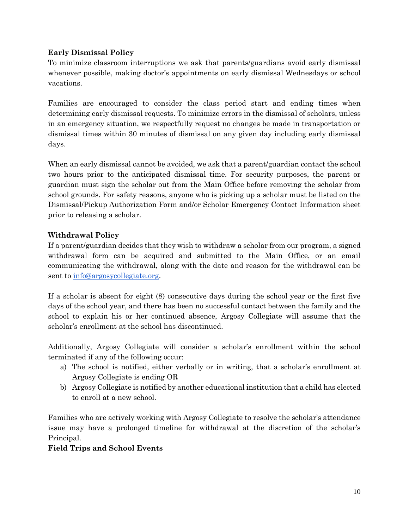### **Early Dismissal Policy**

To minimize classroom interruptions we ask that parents/guardians avoid early dismissal whenever possible, making doctor's appointments on early dismissal Wednesdays or school vacations.

Families are encouraged to consider the class period start and ending times when determining early dismissal requests. To minimize errors in the dismissal of scholars, unless in an emergency situation, we respectfully request no changes be made in transportation or dismissal times within 30 minutes of dismissal on any given day including early dismissal days.

When an early dismissal cannot be avoided, we ask that a parent/guardian contact the school two hours prior to the anticipated dismissal time. For security purposes, the parent or guardian must sign the scholar out from the Main Office before removing the scholar from school grounds. For safety reasons, anyone who is picking up a scholar must be listed on the Dismissal/Pickup Authorization Form and/or Scholar Emergency Contact Information sheet prior to releasing a scholar.

### **Withdrawal Policy**

If a parent/guardian decides that they wish to withdraw a scholar from our program, a signed withdrawal form can be acquired and submitted to the Main Office, or an email communicating the withdrawal, along with the date and reason for the withdrawal can be sent to [info@argosycollegiate.org.](mailto:info@argosycollegiate.org)

If a scholar is absent for eight (8) consecutive days during the school year or the first five days of the school year, and there has been no successful contact between the family and the school to explain his or her continued absence, Argosy Collegiate will assume that the scholar's enrollment at the school has discontinued.

Additionally, Argosy Collegiate will consider a scholar's enrollment within the school terminated if any of the following occur:

- a) The school is notified, either verbally or in writing, that a scholar's enrollment at Argosy Collegiate is ending OR
- b) Argosy Collegiate is notified by another educational institution that a child has elected to enroll at a new school.

Families who are actively working with Argosy Collegiate to resolve the scholar's attendance issue may have a prolonged timeline for withdrawal at the discretion of the scholar's Principal.

#### **Field Trips and School Events**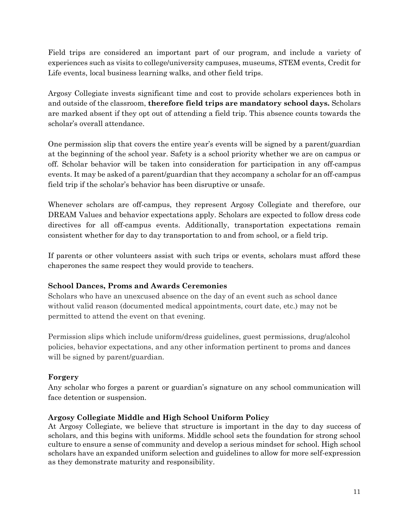Field trips are considered an important part of our program, and include a variety of experiences such as visits to college/university campuses, museums, STEM events, Credit for Life events, local business learning walks, and other field trips.

Argosy Collegiate invests significant time and cost to provide scholars experiences both in and outside of the classroom, **therefore field trips are mandatory school days.** Scholars are marked absent if they opt out of attending a field trip. This absence counts towards the scholar's overall attendance.

One permission slip that covers the entire year's events will be signed by a parent/guardian at the beginning of the school year. Safety is a school priority whether we are on campus or off. Scholar behavior will be taken into consideration for participation in any off-campus events. It may be asked of a parent/guardian that they accompany a scholar for an off-campus field trip if the scholar's behavior has been disruptive or unsafe.

Whenever scholars are off-campus, they represent Argosy Collegiate and therefore, our DREAM Values and behavior expectations apply. Scholars are expected to follow dress code directives for all off-campus events. Additionally, transportation expectations remain consistent whether for day to day transportation to and from school, or a field trip.

If parents or other volunteers assist with such trips or events, scholars must afford these chaperones the same respect they would provide to teachers.

### **School Dances, Proms and Awards Ceremonies**

Scholars who have an unexcused absence on the day of an event such as school dance without valid reason (documented medical appointments, court date, etc.) may not be permitted to attend the event on that evening.

Permission slips which include uniform/dress guidelines, guest permissions, drug/alcohol policies, behavior expectations, and any other information pertinent to proms and dances will be signed by parent/guardian.

### **Forgery**

Any scholar who forges a parent or guardian's signature on any school communication will face detention or suspension.

### **Argosy Collegiate Middle and High School Uniform Policy**

At Argosy Collegiate, we believe that structure is important in the day to day success of scholars, and this begins with uniforms. Middle school sets the foundation for strong school culture to ensure a sense of community and develop a serious mindset for school. High school scholars have an expanded uniform selection and guidelines to allow for more self-expression as they demonstrate maturity and responsibility.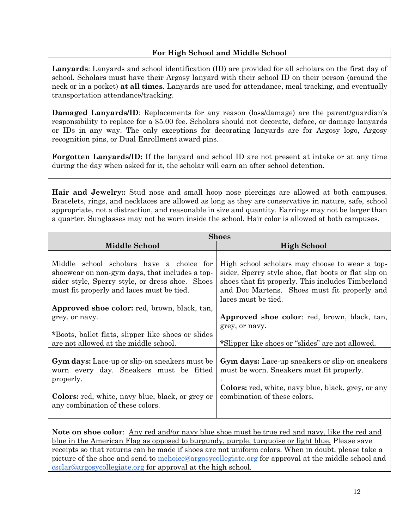## **For High School and Middle School**

**Lanyards**: Lanyards and school identification (ID) are provided for all scholars on the first day of school. Scholars must have their Argosy lanyard with their school ID on their person (around the neck or in a pocket) **at all times**. Lanyards are used for attendance, meal tracking, and eventually transportation attendance/tracking.

**Damaged Lanyards/ID**: Replacements for any reason (loss/damage) are the parent/guardian's responsibility to replace for a \$5.00 fee. Scholars should not decorate, deface, or damage lanyards or IDs in any way. The only exceptions for decorating lanyards are for Argosy logo, Argosy recognition pins, or Dual Enrollment award pins.

**Forgotten Lanyards/ID:** If the lanyard and school ID are not present at intake or at any time during the day when asked for it, the scholar will earn an after school detention.

**Hair and Jewelry::** Stud nose and small hoop nose piercings are allowed at both campuses. Bracelets, rings, and necklaces are allowed as long as they are conservative in nature, safe, school appropriate, not a distraction, and reasonable in size and quantity. Earrings may not be larger than a quarter. Sunglasses may not be worn inside the school. Hair color is allowed at both campuses.

| <b>Shoes</b>                                                                                                                                                                                                                                                                                                              |                                                                                                                                                                                                                                                                                                      |  |  |
|---------------------------------------------------------------------------------------------------------------------------------------------------------------------------------------------------------------------------------------------------------------------------------------------------------------------------|------------------------------------------------------------------------------------------------------------------------------------------------------------------------------------------------------------------------------------------------------------------------------------------------------|--|--|
| <b>Middle School</b>                                                                                                                                                                                                                                                                                                      | <b>High School</b>                                                                                                                                                                                                                                                                                   |  |  |
| Middle school scholars have a choice for<br>shoewear on non-gym days, that includes a top-<br>sider style, Sperry style, or dress shoe. Shoes<br>must fit properly and laces must be tied.<br><b>Approved shoe color:</b> red, brown, black, tan,<br>grey, or navy.<br>*Boots, ballet flats, slipper like shoes or slides | High school scholars may choose to wear a top-<br>sider, Sperry style shoe, flat boots or flat slip on<br>shoes that fit properly. This includes Timberland<br>and Doc Martens. Shoes must fit properly and<br>laces must be tied.<br>Approved shoe color: red, brown, black, tan,<br>grey, or navy. |  |  |
| are not allowed at the middle school.                                                                                                                                                                                                                                                                                     | *Slipper like shoes or "slides" are not allowed.                                                                                                                                                                                                                                                     |  |  |
| <b>Gym days:</b> Lace-up or slip-on sneakers must be<br>worn every day. Sneakers must be fitted<br>properly.<br><b>Colors:</b> red, white, navy blue, black, or grey or<br>any combination of these colors.                                                                                                               | Gym days: Lace-up sneakers or slip-on sneakers<br>must be worn. Sneakers must fit properly.<br><b>Colors:</b> red, white, navy blue, black, grey, or any<br>combination of these colors.                                                                                                             |  |  |

**Note on shoe color**: Any red and/or navy blue shoe must be true red and navy, like the red and blue in the American Flag as opposed to burgundy, purple, turquoise or light blue. Please save receipts so that returns can be made if shoes are not uniform colors. When in doubt, please take a picture of the shoe and send to [mchoice@argosycollegiate.org](mailto:mchoice@argosycollegiate.org) for approval at the middle school and [csclar@argosycollegiate.org](mailto:csclar@argosycollegiate.org) for approval at the high school.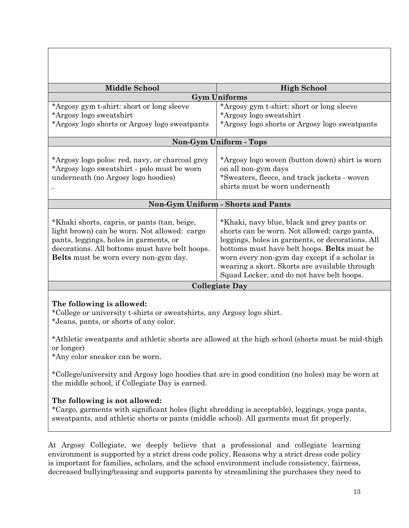| <b>Middle School</b>                                                                                                                                                                                                                     | <b>High School</b>                                                                                                                                                                                                                                                                                                                            |  |  |
|------------------------------------------------------------------------------------------------------------------------------------------------------------------------------------------------------------------------------------------|-----------------------------------------------------------------------------------------------------------------------------------------------------------------------------------------------------------------------------------------------------------------------------------------------------------------------------------------------|--|--|
|                                                                                                                                                                                                                                          | <b>Gym Uniforms</b>                                                                                                                                                                                                                                                                                                                           |  |  |
| *Argosy gym t-shirt: short or long sleeve                                                                                                                                                                                                | *Argosy gym t-shirt: short or long sleeve                                                                                                                                                                                                                                                                                                     |  |  |
| *Argosy logo sweatshirt                                                                                                                                                                                                                  | *Argosy logo sweatshirt                                                                                                                                                                                                                                                                                                                       |  |  |
| *Argosy logo shorts or Argosy logo sweatpants                                                                                                                                                                                            | *Argosy logo shorts or Argosy logo sweatpants                                                                                                                                                                                                                                                                                                 |  |  |
|                                                                                                                                                                                                                                          |                                                                                                                                                                                                                                                                                                                                               |  |  |
|                                                                                                                                                                                                                                          | Non-Gym Uniform - Tops                                                                                                                                                                                                                                                                                                                        |  |  |
| *Argosy logo polos: red, navy, or charcoal grey<br>*Argosy logo sweatshirt - polo must be worn<br>underneath (no Argosy logo hoodies)                                                                                                    | *Argosy logo woven (button down) shirt is worn<br>on all non-gym days<br>*Sweaters, fleece, and track jackets - woven<br>shirts must be worn underneath                                                                                                                                                                                       |  |  |
|                                                                                                                                                                                                                                          | <b>Non-Gym Uniform - Shorts and Pants</b>                                                                                                                                                                                                                                                                                                     |  |  |
| *Khaki shorts, capris, or pants (tan, beige,<br>light brown) can be worn. Not allowed: cargo<br>pants, leggings, holes in garments, or<br>decorations. All bottoms must have belt hoops.<br><b>Belts</b> must be worn every non-gym day. | *Khaki, navy blue, black and grey pants or<br>shorts can be worn. Not allowed: cargo pants,<br>leggings, holes in garments, or decorations. All<br>bottoms must have belt hoops. Belts must be<br>worn every non-gym day except if a scholar is<br>wearing a skort. Skorts are available through<br>Squad Locker, and do not have belt hoops. |  |  |
| <b>Collegiate Day</b>                                                                                                                                                                                                                    |                                                                                                                                                                                                                                                                                                                                               |  |  |

### **The following is allowed:**

\*College or university t-shirts or sweatshirts, any Argosy logo shirt.

\*Jeans, pants, or shorts of any color.

\*Athletic sweatpants and athletic shorts are allowed at the high school (shorts must be mid-thigh or longer)

\*Any color sneaker can be worn.

\*College/university and Argosy logo hoodies that are in good condition (no holes) may be worn at the middle school, if Collegiate Day is earned.

### **The following is not allowed:**

\*Cargo, garments with significant holes (light shredding is acceptable), leggings, yoga pants, sweatpants, and athletic shorts or pants (middle school). All garments must fit properly.

At Argosy Collegiate, we deeply believe that a professional and collegiate learning environment is supported by a strict dress code policy. Reasons why a strict dress code policy is important for families, scholars, and the school environment include consistency, fairness, decreased bullying/teasing and supports parents by streamlining the purchases they need to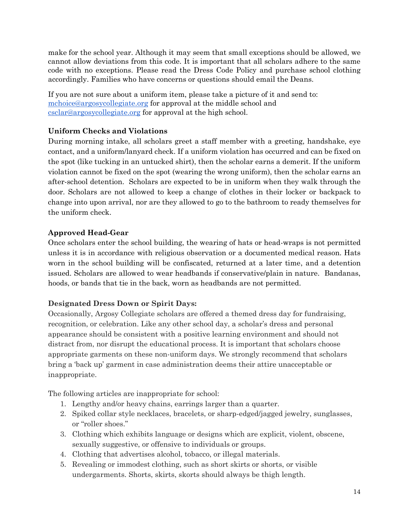make for the school year. Although it may seem that small exceptions should be allowed, we cannot allow deviations from this code. It is important that all scholars adhere to the same code with no exceptions. Please read the Dress Code Policy and purchase school clothing accordingly. Families who have concerns or questions should email the Deans.

If you are not sure about a uniform item, please take a picture of it and send to: [mchoice@argosycollegiate.org](mailto:mchoice@argosycollegiate.org) for approval at the middle school and [csclar@argosycollegiate.org](mailto:csclar@argosycollegiate.org) for approval at the high school.

## **Uniform Checks and Violations**

During morning intake, all scholars greet a staff member with a greeting, handshake, eye contact, and a uniform/lanyard check. If a uniform violation has occurred and can be fixed on the spot (like tucking in an untucked shirt), then the scholar earns a demerit. If the uniform violation cannot be fixed on the spot (wearing the wrong uniform), then the scholar earns an after-school detention. Scholars are expected to be in uniform when they walk through the door. Scholars are not allowed to keep a change of clothes in their locker or backpack to change into upon arrival, nor are they allowed to go to the bathroom to ready themselves for the uniform check.

### **Approved Head-Gear**

Once scholars enter the school building, the wearing of hats or head-wraps is not permitted unless it is in accordance with religious observation or a documented medical reason. Hats worn in the school building will be confiscated, returned at a later time, and a detention issued. Scholars are allowed to wear headbands if conservative/plain in nature. Bandanas, hoods, or bands that tie in the back, worn as headbands are not permitted.

### **Designated Dress Down or Spirit Days:**

Occasionally, Argosy Collegiate scholars are offered a themed dress day for fundraising, recognition, or celebration. Like any other school day, a scholar's dress and personal appearance should be consistent with a positive learning environment and should not distract from, nor disrupt the educational process. It is important that scholars choose appropriate garments on these non-uniform days. We strongly recommend that scholars bring a 'back up' garment in case administration deems their attire unacceptable or inappropriate.

The following articles are inappropriate for school:

- 1. Lengthy and/or heavy chains, earrings larger than a quarter.
- 2. Spiked collar style necklaces, bracelets, or sharp-edged/jagged jewelry, sunglasses, or "roller shoes."
- 3. Clothing which exhibits language or designs which are explicit, violent, obscene, sexually suggestive, or offensive to individuals or groups.
- 4. Clothing that advertises alcohol, tobacco, or illegal materials.
- 5. Revealing or immodest clothing, such as short skirts or shorts, or visible undergarments. Shorts, skirts, skorts should always be thigh length.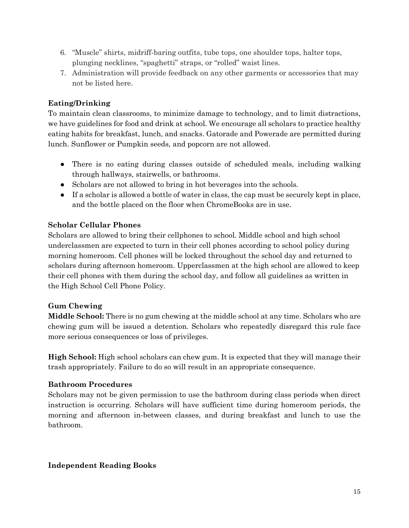- 6. "Muscle" shirts, midriff-baring outfits, tube tops, one shoulder tops, halter tops, plunging necklines, "spaghetti" straps, or "rolled" waist lines.
- 7. Administration will provide feedback on any other garments or accessories that may not be listed here.

## **Eating/Drinking**

To maintain clean classrooms, to minimize damage to technology, and to limit distractions, we have guidelines for food and drink at school. We encourage all scholars to practice healthy eating habits for breakfast, lunch, and snacks. Gatorade and Powerade are permitted during lunch. Sunflower or Pumpkin seeds, and popcorn are not allowed.

- There is no eating during classes outside of scheduled meals, including walking through hallways, stairwells, or bathrooms.
- Scholars are not allowed to bring in hot beverages into the schools.
- If a scholar is allowed a bottle of water in class, the cap must be securely kept in place, and the bottle placed on the floor when ChromeBooks are in use.

## **Scholar Cellular Phones**

Scholars are allowed to bring their cellphones to school. Middle school and high school underclassmen are expected to turn in their cell phones according to school policy during morning homeroom. Cell phones will be locked throughout the school day and returned to scholars during afternoon homeroom. Upperclassmen at the high school are allowed to keep their cell phones with them during the school day, and follow all guidelines as written in the High School Cell Phone Policy.

## **Gum Chewing**

**Middle School:** There is no gum chewing at the middle school at any time. Scholars who are chewing gum will be issued a detention. Scholars who repeatedly disregard this rule face more serious consequences or loss of privileges.

**High School:** High school scholars can chew gum. It is expected that they will manage their trash appropriately. Failure to do so will result in an appropriate consequence.

### **Bathroom Procedures**

Scholars may not be given permission to use the bathroom during class periods when direct instruction is occurring. Scholars will have sufficient time during homeroom periods, the morning and afternoon in-between classes, and during breakfast and lunch to use the bathroom.

### **Independent Reading Books**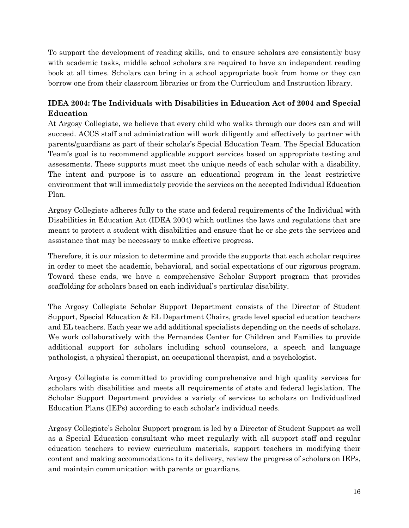To support the development of reading skills, and to ensure scholars are consistently busy with academic tasks, middle school scholars are required to have an independent reading book at all times. Scholars can bring in a school appropriate book from home or they can borrow one from their classroom libraries or from the Curriculum and Instruction library.

## **IDEA 2004: The Individuals with Disabilities in Education Act of 2004 and Special Education**

At Argosy Collegiate, we believe that every child who walks through our doors can and will succeed. ACCS staff and administration will work diligently and effectively to partner with parents/guardians as part of their scholar's Special Education Team. The Special Education Team's goal is to recommend applicable support services based on appropriate testing and assessments. These supports must meet the unique needs of each scholar with a disability. The intent and purpose is to assure an educational program in the least restrictive environment that will immediately provide the services on the accepted Individual Education Plan.

Argosy Collegiate adheres fully to the state and federal requirements of the Individual with Disabilities in Education Act (IDEA 2004) which outlines the laws and regulations that are meant to protect a student with disabilities and ensure that he or she gets the services and assistance that may be necessary to make effective progress.

Therefore, it is our mission to determine and provide the supports that each scholar requires in order to meet the academic, behavioral, and social expectations of our rigorous program. Toward these ends, we have a comprehensive Scholar Support program that provides scaffolding for scholars based on each individual's particular disability.

The Argosy Collegiate Scholar Support Department consists of the Director of Student Support, Special Education & EL Department Chairs, grade level special education teachers and EL teachers. Each year we add additional specialists depending on the needs of scholars. We work collaboratively with the Fernandes Center for Children and Families to provide additional support for scholars including school counselors, a speech and language pathologist, a physical therapist, an occupational therapist, and a psychologist.

Argosy Collegiate is committed to providing comprehensive and high quality services for scholars with disabilities and meets all requirements of state and federal legislation. The Scholar Support Department provides a variety of services to scholars on Individualized Education Plans (IEPs) according to each scholar's individual needs.

Argosy Collegiate's Scholar Support program is led by a Director of Student Support as well as a Special Education consultant who meet regularly with all support staff and regular education teachers to review curriculum materials, support teachers in modifying their content and making accommodations to its delivery, review the progress of scholars on IEPs, and maintain communication with parents or guardians.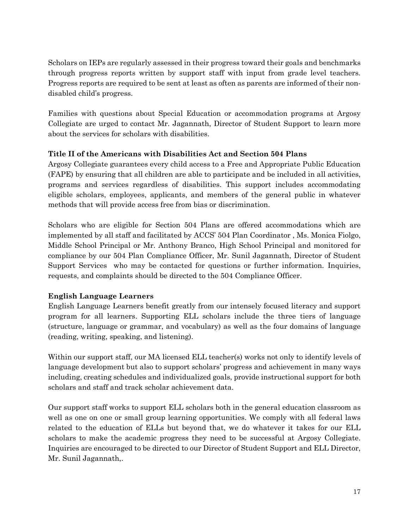Scholars on IEPs are regularly assessed in their progress toward their goals and benchmarks through progress reports written by support staff with input from grade level teachers. Progress reports are required to be sent at least as often as parents are informed of their nondisabled child's progress.

Families with questions about Special Education or accommodation programs at Argosy Collegiate are urged to contact Mr. Jagannath, Director of Student Support to learn more about the services for scholars with disabilities.

### **Title II of the Americans with Disabilities Act and Section 504 Plans**

Argosy Collegiate guarantees every child access to a Free and Appropriate Public Education (FAPE) by ensuring that all children are able to participate and be included in all activities, programs and services regardless of disabilities. This support includes accommodating eligible scholars, employees, applicants, and members of the general public in whatever methods that will provide access free from bias or discrimination.

Scholars who are eligible for Section 504 Plans are offered accommodations which are implemented by all staff and facilitated by ACCS' 504 Plan Coordinator , Ms. Monica Fiolgo, Middle School Principal or Mr. Anthony Branco, High School Principal and monitored for compliance by our 504 Plan Compliance Officer, Mr. Sunil Jagannath, Director of Student Support Services who may be contacted for questions or further information. Inquiries, requests, and complaints should be directed to the 504 Compliance Officer.

## **English Language Learners**

English Language Learners benefit greatly from our intensely focused literacy and support program for all learners. Supporting ELL scholars include the three tiers of language (structure, language or grammar, and vocabulary) as well as the four domains of language (reading, writing, speaking, and listening).

Within our support staff, our MA licensed ELL teacher(s) works not only to identify levels of language development but also to support scholars' progress and achievement in many ways including, creating schedules and individualized goals, provide instructional support for both scholars and staff and track scholar achievement data.

Our support staff works to support ELL scholars both in the general education classroom as well as one on one or small group learning opportunities. We comply with all federal laws related to the education of ELLs but beyond that, we do whatever it takes for our ELL scholars to make the academic progress they need to be successful at Argosy Collegiate. Inquiries are encouraged to be directed to our Director of Student Support and ELL Director, Mr. Sunil Jagannath,.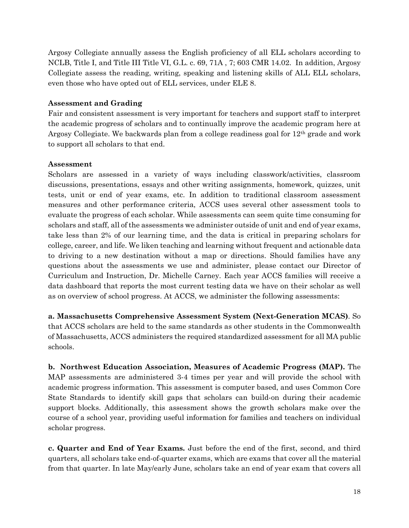Argosy Collegiate annually assess the English proficiency of all ELL scholars according to NCLB, Title I, and Title III Title VI, G.L. c. 69, 71A , 7; 603 CMR 14.02. In addition, Argosy Collegiate assess the reading, writing, speaking and listening skills of ALL ELL scholars, even those who have opted out of ELL services, under ELE 8.

### **Assessment and Grading**

Fair and consistent assessment is very important for teachers and support staff to interpret the academic progress of scholars and to continually improve the academic program here at Argosy Collegiate. We backwards plan from a college readiness goal for  $12<sup>th</sup>$  grade and work to support all scholars to that end.

### **Assessment**

Scholars are assessed in a variety of ways including classwork/activities, classroom discussions, presentations, essays and other writing assignments, homework, quizzes, unit tests, unit or end of year exams, etc. In addition to traditional classroom assessment measures and other performance criteria, ACCS uses several other assessment tools to evaluate the progress of each scholar. While assessments can seem quite time consuming for scholars and staff, all of the assessments we administer outside of unit and end of year exams, take less than 2% of our learning time, and the data is critical in preparing scholars for college, career, and life. We liken teaching and learning without frequent and actionable data to driving to a new destination without a map or directions. Should families have any questions about the assessments we use and administer, please contact our Director of Curriculum and Instruction, Dr. Michelle Carney. Each year ACCS families will receive a data dashboard that reports the most current testing data we have on their scholar as well as on overview of school progress. At ACCS, we administer the following assessments:

**a. Massachusetts Comprehensive Assessment System (Next-Generation MCAS)**. So that ACCS scholars are held to the same standards as other students in the Commonwealth of Massachusetts, ACCS administers the required standardized assessment for all MA public schools.

**b. Northwest Education Association, Measures of Academic Progress (MAP).** The MAP assessments are administered 3-4 times per year and will provide the school with academic progress information. This assessment is computer based, and uses Common Core State Standards to identify skill gaps that scholars can build-on during their academic support blocks. Additionally, this assessment shows the growth scholars make over the course of a school year, providing useful information for families and teachers on individual scholar progress.

**c. Quarter and End of Year Exams.** Just before the end of the first, second, and third quarters, all scholars take end-of-quarter exams, which are exams that cover all the material from that quarter. In late May/early June, scholars take an end of year exam that covers all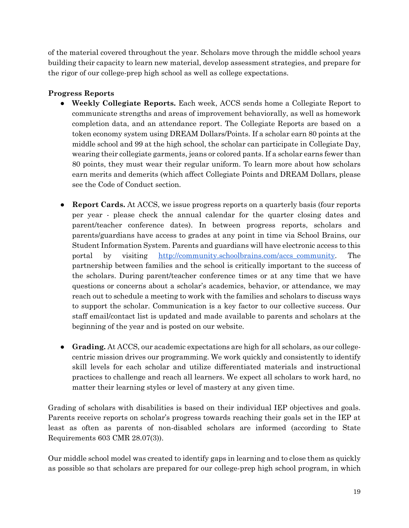of the material covered throughout the year. Scholars move through the middle school years building their capacity to learn new material, develop assessment strategies, and prepare for the rigor of our college-prep high school as well as college expectations.

## **Progress Reports**

- **Weekly Collegiate Reports.** Each week, ACCS sends home a Collegiate Report to communicate strengths and areas of improvement behaviorally, as well as homework completion data, and an attendance report. The Collegiate Reports are based on a token economy system using DREAM Dollars/Points. If a scholar earn 80 points at the middle school and 99 at the high school, the scholar can participate in Collegiate Day, wearing their collegiate garments, jeans or colored pants. If a scholar earns fewer than 80 points, they must wear their regular uniform. To learn more about how scholars earn merits and demerits (which affect Collegiate Points and DREAM Dollars, please see the Code of Conduct section.
- **Report Cards.** At ACCS, we issue progress reports on a quarterly basis (four reports per year - please check the annual calendar for the quarter closing dates and parent/teacher conference dates). In between progress reports, scholars and parents/guardians have access to grades at any point in time via School Brains, our Student Information System. Parents and guardians will have electronic access to this portal by visitin[g](http://community.schoolbrains.com/accs_community) [http://community.schoolbrains.com/accs\\_community.](http://community.schoolbrains.com/accs_community) The partnership between families and the school is critically important to the success of the scholars. During parent/teacher conference times or at any time that we have questions or concerns about a scholar's academics, behavior, or attendance, we may reach out to schedule a meeting to work with the families and scholars to discuss ways to support the scholar. Communication is a key factor to our collective success. Our staff email/contact list is updated and made available to parents and scholars at the beginning of the year and is posted on our website.
- **Grading.** At ACCS, our academic expectations are high for all scholars, as our collegecentric mission drives our programming. We work quickly and consistently to identify skill levels for each scholar and utilize differentiated materials and instructional practices to challenge and reach all learners. We expect all scholars to work hard, no matter their learning styles or level of mastery at any given time.

Grading of scholars with disabilities is based on their individual IEP objectives and goals. Parents receive reports on scholar's progress towards reaching their goals set in the IEP at least as often as parents of non-disabled scholars are informed (according to State Requirements 603 CMR 28.07(3)).

Our middle school model was created to identify gaps in learning and to close them as quickly as possible so that scholars are prepared for our college-prep high school program, in which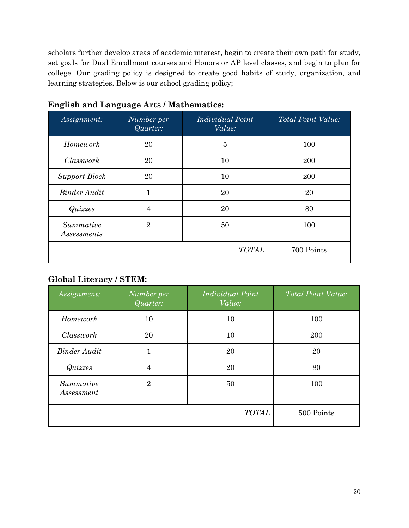scholars further develop areas of academic interest, begin to create their own path for study, set goals for Dual Enrollment courses and Honors or AP level classes, and begin to plan for college. Our grading policy is designed to create good habits of study, organization, and learning strategies. Below is our school grading policy;

| Assignment:              | Number per<br>Quarter: | Individual Point<br>Value: | Total Point Value: |  |
|--------------------------|------------------------|----------------------------|--------------------|--|
| Homework                 | $\overline{5}$<br>20   |                            | 100                |  |
| Classwork                | 20                     | 10                         | 200                |  |
| <b>Support Block</b>     | 20                     | 10                         | 200                |  |
| <b>Binder Audit</b>      | $\mathbf{1}$           | 20                         | 20                 |  |
| <i><b>Quizzes</b></i>    | 4                      | 20                         | 80                 |  |
| Summative<br>Assessments | $\overline{2}$         | 50                         | 100                |  |
|                          |                        | <b>TOTAL</b>               | 700 Points         |  |

## **English and Language Arts / Mathematics:**

## **Global Literacy / STEM:**

| Assignment:             | Number per<br>Quarter: | <b>Individual Point</b><br>Value: | Total Point Value: |
|-------------------------|------------------------|-----------------------------------|--------------------|
| Homework                | 10                     | 10                                | 100                |
| Classwork               | 20                     | 10                                | 200                |
| <b>Binder Audit</b>     | 1                      | 20                                | 20                 |
| <i><b>Quizzes</b></i>   | 4                      | 20                                | 80                 |
| Summative<br>Assessment | $\overline{2}$         | 50                                | 100                |
|                         |                        | <b>TOTAL</b>                      | 500 Points         |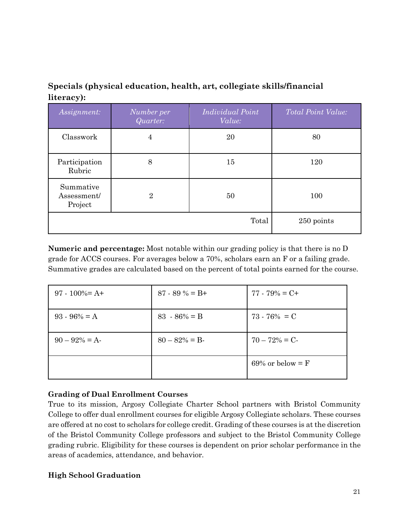## **Specials (physical education, health, art, collegiate skills/financial literacy):**

| Assignment:                         | Number per<br>Quarter: | Individual Point<br>Value: | Total Point Value: |
|-------------------------------------|------------------------|----------------------------|--------------------|
| Classwork                           | $\overline{4}$         | 20                         | 80                 |
| Participation<br>Rubric             | 8                      | 15                         | 120                |
| Summative<br>Assessment/<br>Project | $\overline{2}$         | 50                         | 100                |
|                                     |                        | Total                      | 250 points         |

**Numeric and percentage:** Most notable within our grading policy is that there is no D grade for ACCS courses. For averages below a 70%, scholars earn an F or a failing grade. Summative grades are calculated based on the percent of total points earned for the course.

| $97 - 100\% = A +$ | $87 - 89\% = B +$ | $77 - 79\% = C +$  |
|--------------------|-------------------|--------------------|
| $93 - 96\% = A$    | $83 - 86\% = B$   | $73 - 76\% = C$    |
| $90 - 92\% = A$    | $80 - 82\% = B$   | $70 - 72\% = C$    |
|                    |                   | 69% or below $=$ F |

## **Grading of Dual Enrollment Courses**

True to its mission, Argosy Collegiate Charter School partners with Bristol Community College to offer dual enrollment courses for eligible Argosy Collegiate scholars. These courses are offered at no cost to scholars for college credit. Grading of these courses is at the discretion of the Bristol Community College professors and subject to the Bristol Community College grading rubric. Eligibility for these courses is dependent on prior scholar performance in the areas of academics, attendance, and behavior.

### **High School Graduation**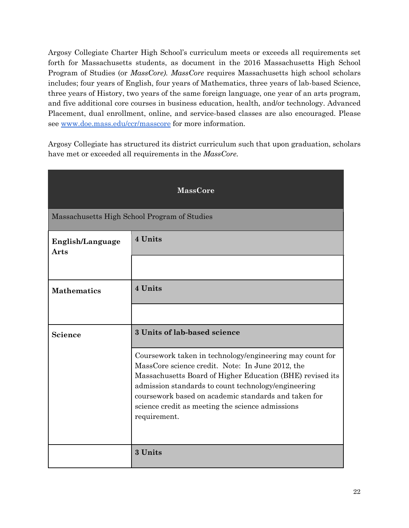Argosy Collegiate Charter High School's curriculum meets or exceeds all requirements set forth for Massachusetts students, as document in the 2016 Massachusetts High School Program of Studies (or *MassCore). MassCore* requires Massachusetts high school scholars includes; four years of English, four years of Mathematics, three years of lab-based Science, three years of History, two years of the same foreign language, one year of an arts program, and five additional core courses in business education, health, and/or technology. Advanced Placement, dual enrollment, online, and service-based classes are also encouraged. Please se[e](http://www.doe.mass.edu/ccr/masscore) [www.doe.mass.edu/ccr/masscore](http://www.doe.mass.edu/ccr/masscore) for more information.

Argosy Collegiate has structured its district curriculum such that upon graduation, scholars have met or exceeded all requirements in the *MassCore.*

| <b>MassCore</b>          |                                                                                                                                                                                                                                                                                                                                                              |  |  |
|--------------------------|--------------------------------------------------------------------------------------------------------------------------------------------------------------------------------------------------------------------------------------------------------------------------------------------------------------------------------------------------------------|--|--|
|                          | Massachusetts High School Program of Studies                                                                                                                                                                                                                                                                                                                 |  |  |
| English/Language<br>Arts | 4 Units                                                                                                                                                                                                                                                                                                                                                      |  |  |
|                          |                                                                                                                                                                                                                                                                                                                                                              |  |  |
| <b>Mathematics</b>       | 4 Units                                                                                                                                                                                                                                                                                                                                                      |  |  |
|                          |                                                                                                                                                                                                                                                                                                                                                              |  |  |
| <b>Science</b>           | 3 Units of lab-based science                                                                                                                                                                                                                                                                                                                                 |  |  |
|                          | Coursework taken in technology/engineering may count for<br>MassCore science credit. Note: In June 2012, the<br>Massachusetts Board of Higher Education (BHE) revised its<br>admission standards to count technology/engineering<br>coursework based on academic standards and taken for<br>science credit as meeting the science admissions<br>requirement. |  |  |
|                          | 3 Units                                                                                                                                                                                                                                                                                                                                                      |  |  |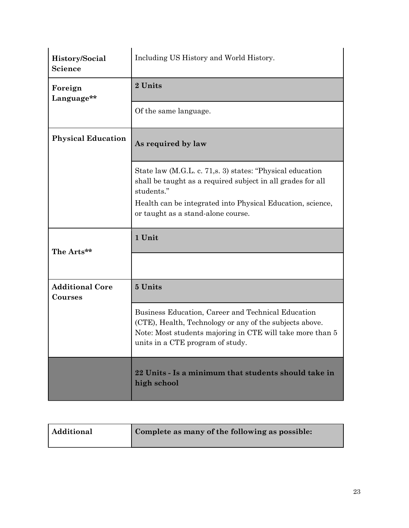| History/Social<br><b>Science</b>  | Including US History and World History.                                                                                                                                                                        |  |
|-----------------------------------|----------------------------------------------------------------------------------------------------------------------------------------------------------------------------------------------------------------|--|
| Foreign<br>Language**             | 2 Units                                                                                                                                                                                                        |  |
|                                   | Of the same language.                                                                                                                                                                                          |  |
| <b>Physical Education</b>         | As required by law                                                                                                                                                                                             |  |
|                                   | State law (M.G.L. c. 71, s. 3) states: "Physical education<br>shall be taught as a required subject in all grades for all<br>students."                                                                        |  |
|                                   | Health can be integrated into Physical Education, science,<br>or taught as a stand-alone course.                                                                                                               |  |
| The Arts**                        | 1 Unit                                                                                                                                                                                                         |  |
|                                   |                                                                                                                                                                                                                |  |
|                                   |                                                                                                                                                                                                                |  |
| <b>Additional Core</b><br>Courses | 5 Units                                                                                                                                                                                                        |  |
|                                   | Business Education, Career and Technical Education<br>(CTE), Health, Technology or any of the subjects above.<br>Note: Most students majoring in CTE will take more than 5<br>units in a CTE program of study. |  |

| Additional | Complete as many of the following as possible: |
|------------|------------------------------------------------|
|------------|------------------------------------------------|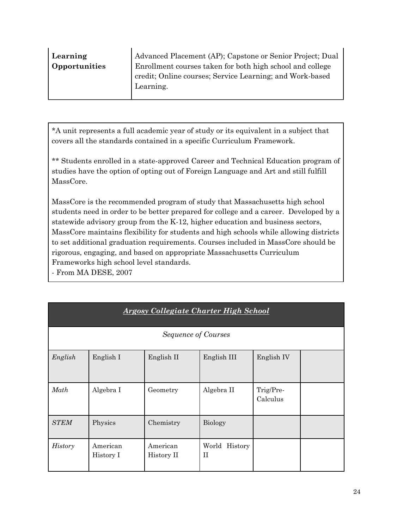| Learning      | Advanced Placement (AP); Capstone or Senior Project; Dual |
|---------------|-----------------------------------------------------------|
| Opportunities | Enrollment courses taken for both high school and college |
|               | credit; Online courses; Service Learning; and Work-based  |
|               | Learning.                                                 |
|               |                                                           |

\*A unit represents a full academic year of study or its equivalent in a subject that covers all the standards contained in a specific Curriculum Framework.

\*\* Students enrolled in a state-approved Career and Technical Education program of studies have the option of opting out of Foreign Language and Art and still fulfill MassCore.

MassCore is the recommended program of study that Massachusetts high school students need in order to be better prepared for college and a career. Developed by a statewide advisory group from the K-12, higher education and business sectors, MassCore maintains flexibility for students and high schools while allowing districts to set additional graduation requirements. Courses included in MassCore should be rigorous, engaging, and based on appropriate Massachusetts Curriculum Frameworks high school level standards.

- From MA DESE, 2007

| <b>Argosy Collegiate Charter High School</b> |                       |                            |                                 |                       |  |
|----------------------------------------------|-----------------------|----------------------------|---------------------------------|-----------------------|--|
|                                              |                       | <b>Sequence of Courses</b> |                                 |                       |  |
| English                                      | English I             | English II                 | English III                     | English IV            |  |
| Math                                         | Algebra I             | Geometry                   | Algebra II                      | Trig/Pre-<br>Calculus |  |
| <b>STEM</b>                                  | Physics               | Chemistry                  | <b>Biology</b>                  |                       |  |
| <b>History</b>                               | American<br>History I | American<br>History II     | World<br>History<br>$_{\rm II}$ |                       |  |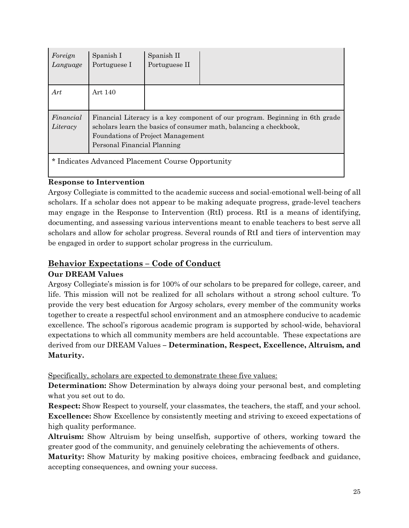| Foreign<br>Language                               | Spanish I<br>Portuguese I                                                                                                                                                                                                     | Spanish II<br>Portuguese II |  |  |  |
|---------------------------------------------------|-------------------------------------------------------------------------------------------------------------------------------------------------------------------------------------------------------------------------------|-----------------------------|--|--|--|
| Art                                               | Art 140                                                                                                                                                                                                                       |                             |  |  |  |
| Financial<br>Literacy                             | Financial Literacy is a key component of our program. Beginning in 6th grade<br>scholars learn the basics of consumer math, balancing a checkbook,<br><b>Foundations of Project Management</b><br>Personal Financial Planning |                             |  |  |  |
| * Indicates Advanced Placement Course Opportunity |                                                                                                                                                                                                                               |                             |  |  |  |

### **Response to Intervention**

Argosy Collegiate is committed to the academic success and social-emotional well-being of all scholars. If a scholar does not appear to be making adequate progress, grade-level teachers may engage in the Response to Intervention (RtI) process. RtI is a means of identifying, documenting, and assessing various interventions meant to enable teachers to best serve all scholars and allow for scholar progress. Several rounds of RtI and tiers of intervention may be engaged in order to support scholar progress in the curriculum.

## **Behavior Expectations – Code of Conduct**

### **Our DREAM Values**

Argosy Collegiate's mission is for 100% of our scholars to be prepared for college, career, and life. This mission will not be realized for all scholars without a strong school culture. To provide the very best education for Argosy scholars, every member of the community works together to create a respectful school environment and an atmosphere conducive to academic excellence. The school's rigorous academic program is supported by school-wide, behavioral expectations to which all community members are held accountable. These expectations are derived from our DREAM Values **– Determination, Respect, Excellence, Altruism, and Maturity.**

Specifically, scholars are expected to demonstrate these five values:

**Determination:** Show Determination by always doing your personal best, and completing what you set out to do.

**Respect:** Show Respect to yourself, your classmates, the teachers, the staff, and your school. **Excellence:** Show Excellence by consistently meeting and striving to exceed expectations of high quality performance.

**Altruism:** Show Altruism by being unselfish, supportive of others, working toward the greater good of the community, and genuinely celebrating the achievements of others.

**Maturity:** Show Maturity by making positive choices, embracing feedback and guidance, accepting consequences, and owning your success.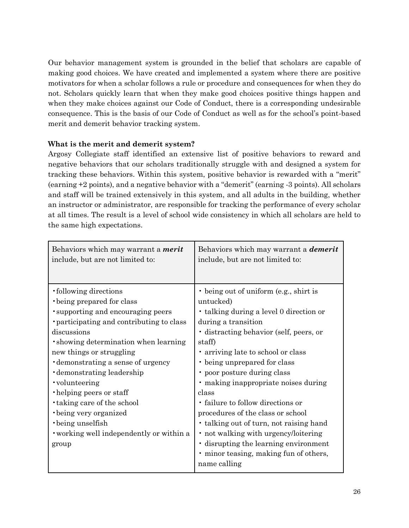Our behavior management system is grounded in the belief that scholars are capable of making good choices. We have created and implemented a system where there are positive motivators for when a scholar follows a rule or procedure and consequences for when they do not. Scholars quickly learn that when they make good choices positive things happen and when they make choices against our Code of Conduct, there is a corresponding undesirable consequence. This is the basis of our Code of Conduct as well as for the school's point-based merit and demerit behavior tracking system.

### **What is the merit and demerit system?**

Argosy Collegiate staff identified an extensive list of positive behaviors to reward and negative behaviors that our scholars traditionally struggle with and designed a system for tracking these behaviors. Within this system, positive behavior is rewarded with a "merit" (earning +2 points), and a negative behavior with a "demerit" (earning -3 points). All scholars and staff will be trained extensively in this system, and all adults in the building, whether an instructor or administrator, are responsible for tracking the performance of every scholar at all times. The result is a level of school wide consistency in which all scholars are held to the same high expectations.

| Behaviors which may warrant a <i>merit</i><br>include, but are not limited to:                                                                                                                                                                                                                                                                                                                                                                                                 | Behaviors which may warrant a <b><i>demerit</i></b><br>include, but are not limited to:                                                                                                                                                                                                                                                                                                                                                                                                                                                                                                          |
|--------------------------------------------------------------------------------------------------------------------------------------------------------------------------------------------------------------------------------------------------------------------------------------------------------------------------------------------------------------------------------------------------------------------------------------------------------------------------------|--------------------------------------------------------------------------------------------------------------------------------------------------------------------------------------------------------------------------------------------------------------------------------------------------------------------------------------------------------------------------------------------------------------------------------------------------------------------------------------------------------------------------------------------------------------------------------------------------|
| · following directions<br>being prepared for class<br>'supporting and encouraging peers<br>• participating and contributing to class<br>discussions<br>• showing determination when learning<br>new things or struggling<br>demonstrating a sense of urgency<br>demonstrating leadership<br>• volunteering<br>• helping peers or staff<br><b>taking care of the school</b><br>• being very organized<br>• being unselfish<br>• working well independently or within a<br>group | • being out of uniform (e.g., shirt is<br>untucked)<br>• talking during a level 0 direction or<br>during a transition<br>· distracting behavior (self, peers, or<br>staff)<br>• arriving late to school or class<br>• being unprepared for class<br>• poor posture during class<br>· making inappropriate noises during<br>class<br>· failure to follow directions or<br>procedures of the class or school<br>· talking out of turn, not raising hand<br>• not walking with urgency/loitering<br>· disrupting the learning environment<br>• minor teasing, making fun of others,<br>name calling |
|                                                                                                                                                                                                                                                                                                                                                                                                                                                                                |                                                                                                                                                                                                                                                                                                                                                                                                                                                                                                                                                                                                  |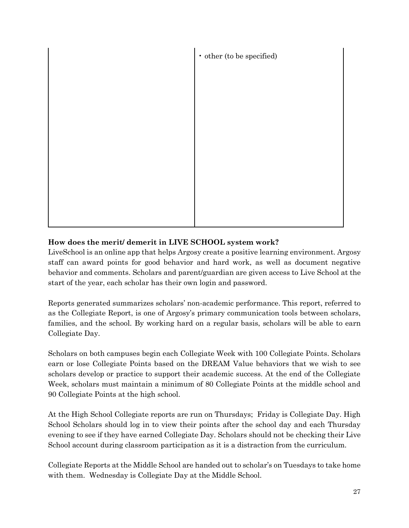

## **How does the merit/ demerit in LIVE SCHOOL system work?**

LiveSchool is an online app that helps Argosy create a positive learning environment. Argosy staff can award points for good behavior and hard work, as well as document negative behavior and comments. Scholars and parent/guardian are given access to Live School at the start of the year, each scholar has their own login and password.

Reports generated summarizes scholars' non-academic performance. This report, referred to as the Collegiate Report, is one of Argosy's primary communication tools between scholars, families, and the school. By working hard on a regular basis, scholars will be able to earn Collegiate Day.

Scholars on both campuses begin each Collegiate Week with 100 Collegiate Points. Scholars earn or lose Collegiate Points based on the DREAM Value behaviors that we wish to see scholars develop or practice to support their academic success. At the end of the Collegiate Week, scholars must maintain a minimum of 80 Collegiate Points at the middle school and 90 Collegiate Points at the high school.

At the High School Collegiate reports are run on Thursdays; Friday is Collegiate Day. High School Scholars should log in to view their points after the school day and each Thursday evening to see if they have earned Collegiate Day. Scholars should not be checking their Live School account during classroom participation as it is a distraction from the curriculum.

Collegiate Reports at the Middle School are handed out to scholar's on Tuesdays to take home with them. Wednesday is Collegiate Day at the Middle School.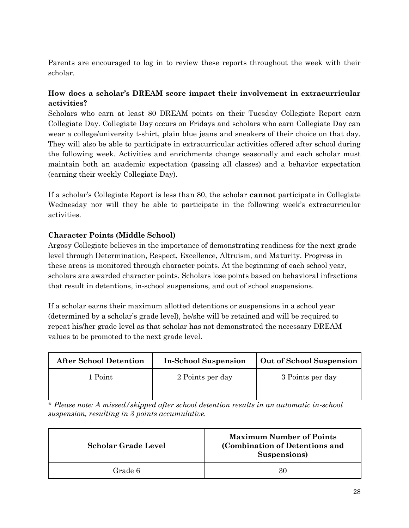Parents are encouraged to log in to review these reports throughout the week with their scholar.

## **How does a scholar's DREAM score impact their involvement in extracurricular activities?**

Scholars who earn at least 80 DREAM points on their Tuesday Collegiate Report earn Collegiate Day. Collegiate Day occurs on Fridays and scholars who earn Collegiate Day can wear a college/university t-shirt, plain blue jeans and sneakers of their choice on that day. They will also be able to participate in extracurricular activities offered after school during the following week. Activities and enrichments change seasonally and each scholar must maintain both an academic expectation (passing all classes) and a behavior expectation (earning their weekly Collegiate Day).

If a scholar's Collegiate Report is less than 80, the scholar **cannot** participate in Collegiate Wednesday nor will they be able to participate in the following week's extracurricular activities.

## **Character Points (Middle School)**

Argosy Collegiate believes in the importance of demonstrating readiness for the next grade level through Determination, Respect, Excellence, Altruism, and Maturity. Progress in these areas is monitored through character points. At the beginning of each school year, scholars are awarded character points. Scholars lose points based on behavioral infractions that result in detentions, in-school suspensions, and out of school suspensions.

If a scholar earns their maximum allotted detentions or suspensions in a school year (determined by a scholar's grade level), he/she will be retained and will be required to repeat his/her grade level as that scholar has not demonstrated the necessary DREAM values to be promoted to the next grade level.

| <b>After School Detention</b> | <b>In-School Suspension</b> | Out of School Suspension |
|-------------------------------|-----------------------------|--------------------------|
| 1 Point                       | 2 Points per day            | 3 Points per day         |
|                               |                             |                          |

\* *Please note: A missed/skipped after school detention results in an automatic in-school suspension, resulting in 3 points accumulative.*

| <b>Scholar Grade Level</b> | <b>Maximum Number of Points</b><br>(Combination of Detentions and<br>Suspensions) |
|----------------------------|-----------------------------------------------------------------------------------|
| Grade 6                    | 30                                                                                |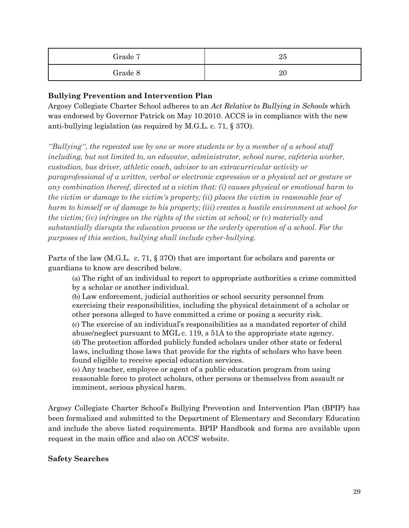| Grade 7 | 25 |
|---------|----|
| Grade 8 | 20 |

### **Bullying Prevention and Intervention Plan**

Argosy Collegiate Charter School adheres to an *Act Relative to Bullying in Schools* which was endorsed by Governor Patrick on May 10.2010. ACCS is in compliance with the new anti-bullying legislation (as required by M.G.L. c. 71, § 37O).

*''Bullying'', the repeated use by one or more students or by a member of a school staff including, but not limited to, an educator, administrator, school nurse, cafeteria worker, custodian, bus driver, athletic coach, advisor to an extracurricular activity or paraprofessional of a written, verbal or electronic expression or a physical act or gesture or any combination thereof, directed at a victim that: (i) causes physical or emotional harm to the victim or damage to the victim's property; (ii) places the victim in reasonable fear of harm to himself or of damage to his property; (iii) creates a hostile environment at school for the victim; (iv) infringes on the rights of the victim at school; or (v) materially and substantially disrupts the education process or the orderly operation of a school. For the purposes of this section, bullying shall include cyber-bullying.*

Parts of the law (M.G.L. c. 71, § 37O) that are important for scholars and parents or guardians to know are described below.

(a) The right of an individual to report to appropriate authorities a crime committed by a scholar or another individual.

(b) Law enforcement, judicial authorities or school security personnel from exercising their responsibilities, including the physical detainment of a scholar or other persons alleged to have committed a crime or posing a security risk. (c) The exercise of an individual's responsibilities as a mandated reporter of child abuse/neglect pursuant to MGL c. 119, s 51A to the appropriate state agency. (d) The protection afforded publicly funded scholars under other state or federal laws, including those laws that provide for the rights of scholars who have been found eligible to receive special education services.

(e) Any teacher, employee or agent of a public education program from using reasonable force to protect scholars, other persons or themselves from assault or imminent, serious physical harm.

Argosy Collegiate Charter School's Bullying Prevention and Intervention Plan (BPIP) has been formalized and submitted to the Department of Elementary and Secondary Education and include the above listed requirements. BPIP Handbook and forms are available upon request in the main office and also on ACCS' website.

#### **Safety Searches**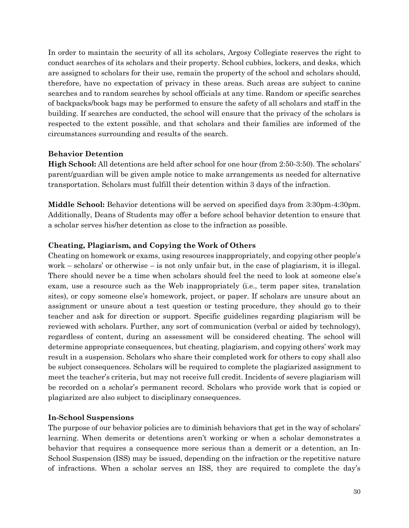In order to maintain the security of all its scholars, Argosy Collegiate reserves the right to conduct searches of its scholars and their property. School cubbies, lockers, and desks, which are assigned to scholars for their use, remain the property of the school and scholars should, therefore, have no expectation of privacy in these areas. Such areas are subject to canine searches and to random searches by school officials at any time. Random or specific searches of backpacks/book bags may be performed to ensure the safety of all scholars and staff in the building. If searches are conducted, the school will ensure that the privacy of the scholars is respected to the extent possible, and that scholars and their families are informed of the circumstances surrounding and results of the search.

#### **Behavior Detention**

**High School:** All detentions are held after school for one hour (from 2:50-3:50). The scholars' parent/guardian will be given ample notice to make arrangements as needed for alternative transportation. Scholars must fulfill their detention within 3 days of the infraction.

**Middle School:** Behavior detentions will be served on specified days from 3:30pm-4:30pm. Additionally, Deans of Students may offer a before school behavior detention to ensure that a scholar serves his/her detention as close to the infraction as possible.

#### **Cheating, Plagiarism, and Copying the Work of Others**

Cheating on homework or exams, using resources inappropriately, and copying other people's work – scholars' or otherwise – is not only unfair but, in the case of plagiarism, it is illegal. There should never be a time when scholars should feel the need to look at someone else's exam, use a resource such as the Web inappropriately (i.e., term paper sites, translation sites), or copy someone else's homework, project, or paper. If scholars are unsure about an assignment or unsure about a test question or testing procedure, they should go to their teacher and ask for direction or support. Specific guidelines regarding plagiarism will be reviewed with scholars. Further, any sort of communication (verbal or aided by technology), regardless of content, during an assessment will be considered cheating. The school will determine appropriate consequences, but cheating, plagiarism, and copying others' work may result in a suspension. Scholars who share their completed work for others to copy shall also be subject consequences. Scholars will be required to complete the plagiarized assignment to meet the teacher's criteria, but may not receive full credit. Incidents of severe plagiarism will be recorded on a scholar's permanent record. Scholars who provide work that is copied or plagiarized are also subject to disciplinary consequences.

#### **In-School Suspensions**

The purpose of our behavior policies are to diminish behaviors that get in the way of scholars' learning. When demerits or detentions aren't working or when a scholar demonstrates a behavior that requires a consequence more serious than a demerit or a detention, an In-School Suspension (ISS) may be issued, depending on the infraction or the repetitive nature of infractions. When a scholar serves an ISS, they are required to complete the day's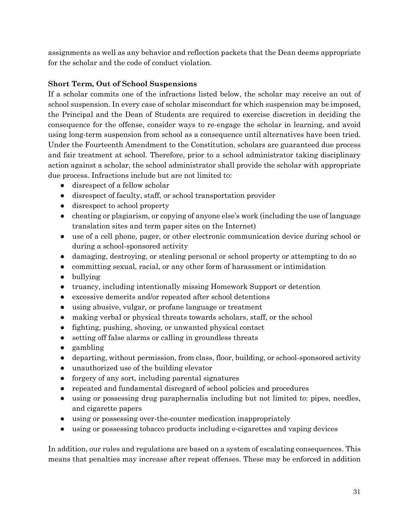assignments as well as any behavior and reflection packets that the Dean deems appropriate for the scholar and the code of conduct violation.

## **Short Term, Out of School Suspensions**

If a scholar commits one of the infractions listed below, the scholar may receive an out of school suspension. In every case of scholar misconduct for which suspension may be imposed, the Principal and the Dean of Students are required to exercise discretion in deciding the consequence for the offense, consider ways to re-engage the scholar in learning, and avoid using long-term suspension from school as a consequence until alternatives have been tried. Under the Fourteenth Amendment to the Constitution, scholars are guaranteed due process and fair treatment at school. Therefore, prior to a school administrator taking disciplinary action against a scholar, the school administrator shall provide the scholar with appropriate due process. Infractions include but are not limited to:

- disrespect of a fellow scholar
- disrespect of faculty, staff, or school transportation provider
- disrespect to school property
- cheating or plagiarism, or copying of anyone else's work (including the use of language translation sites and term paper sites on the Internet)
- use of a cell phone, pager, or other electronic communication device during school or during a school-sponsored activity
- damaging, destroying, or stealing personal or school property or attempting to do so
- committing sexual, racial, or any other form of harassment or intimidation
- bullying
- truancy, including intentionally missing Homework Support or detention
- excessive demerits and/or repeated after school detentions
- using abusive, vulgar, or profane language or treatment
- making verbal or physical threats towards scholars, staff, or the school
- fighting, pushing, shoving, or unwanted physical contact
- setting off false alarms or calling in groundless threats
- gambling
- departing, without permission, from class, floor, building, or school-sponsored activity
- unauthorized use of the building elevator
- forgery of any sort, including parental signatures
- repeated and fundamental disregard of school policies and procedures
- using or possessing drug paraphernalia including but not limited to: pipes, needles, and cigarette papers
- using or possessing over-the-counter medication inappropriately
- using or possessing tobacco products including e-cigarettes and vaping devices

In addition, our rules and regulations are based on a system of escalating consequences. This means that penalties may increase after repeat offenses. These may be enforced in addition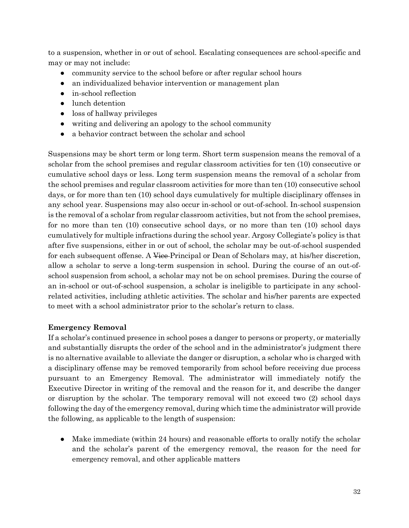to a suspension, whether in or out of school. Escalating consequences are school-specific and may or may not include:

- community service to the school before or after regular school hours
- an individualized behavior intervention or management plan
- in-school reflection
- lunch detention
- loss of hallway privileges
- writing and delivering an apology to the school community
- a behavior contract between the scholar and school

Suspensions may be short term or long term. Short term suspension means the removal of a scholar from the school premises and regular classroom activities for ten (10) consecutive or cumulative school days or less. Long term suspension means the removal of a scholar from the school premises and regular classroom activities for more than ten (10) consecutive school days, or for more than ten (10) school days cumulatively for multiple disciplinary offenses in any school year. Suspensions may also occur in-school or out-of-school. In-school suspension is the removal of a scholar from regular classroom activities, but not from the school premises, for no more than ten (10) consecutive school days, or no more than ten (10) school days cumulatively for multiple infractions during the school year. Argosy Collegiate's policy is that after five suspensions, either in or out of school, the scholar may be out-of-school suspended for each subsequent offense. A Vice-Principal or Dean of Scholars may, at his/her discretion, allow a scholar to serve a long-term suspension in school. During the course of an out-ofschool suspension from school, a scholar may not be on school premises. During the course of an in-school or out-of-school suspension, a scholar is ineligible to participate in any schoolrelated activities, including athletic activities. The scholar and his/her parents are expected to meet with a school administrator prior to the scholar's return to class.

### **Emergency Removal**

If a scholar's continued presence in school poses a danger to persons or property, or materially and substantially disrupts the order of the school and in the administrator's judgment there is no alternative available to alleviate the danger or disruption, a scholar who is charged with a disciplinary offense may be removed temporarily from school before receiving due process pursuant to an Emergency Removal. The administrator will immediately notify the Executive Director in writing of the removal and the reason for it, and describe the danger or disruption by the scholar. The temporary removal will not exceed two (2) school days following the day of the emergency removal, during which time the administrator will provide the following, as applicable to the length of suspension:

• Make immediate (within 24 hours) and reasonable efforts to orally notify the scholar and the scholar's parent of the emergency removal, the reason for the need for emergency removal, and other applicable matters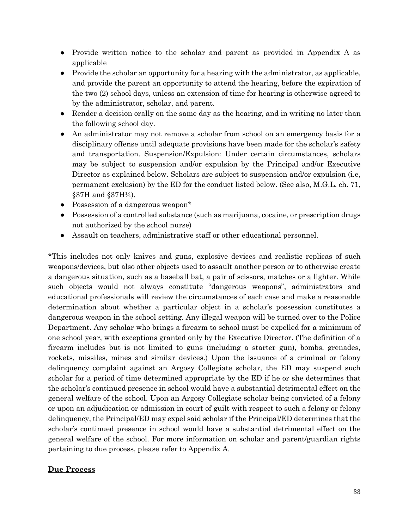- Provide written notice to the scholar and parent as provided in Appendix A as applicable
- Provide the scholar an opportunity for a hearing with the administrator, as applicable, and provide the parent an opportunity to attend the hearing, before the expiration of the two (2) school days, unless an extension of time for hearing is otherwise agreed to by the administrator, scholar, and parent.
- Render a decision orally on the same day as the hearing, and in writing no later than the following school day.
- An administrator may not remove a scholar from school on an emergency basis for a disciplinary offense until adequate provisions have been made for the scholar's safety and transportation. Suspension/Expulsion: Under certain circumstances, scholars may be subject to suspension and/or expulsion by the Principal and/or Executive Director as explained below. Scholars are subject to suspension and/or expulsion (i.e, permanent exclusion) by the ED for the conduct listed below. (See also, M.G.L. ch. 71,  $§37H$  and  $§37H\frac{1}{2}$ ).
- Possession of a dangerous weapon\*
- Possession of a controlled substance (such as marijuana, cocaine, or prescription drugs not authorized by the school nurse)
- Assault on teachers, administrative staff or other educational personnel.

\*This includes not only knives and guns, explosive devices and realistic replicas of such weapons/devices, but also other objects used to assault another person or to otherwise create a dangerous situation, such as a baseball bat, a pair of scissors, matches or a lighter. While such objects would not always constitute "dangerous weapons", administrators and educational professionals will review the circumstances of each case and make a reasonable determination about whether a particular object in a scholar's possession constitutes a dangerous weapon in the school setting. Any illegal weapon will be turned over to the Police Department. Any scholar who brings a firearm to school must be expelled for a minimum of one school year, with exceptions granted only by the Executive Director. (The definition of a firearm includes but is not limited to guns (including a starter gun), bombs, grenades, rockets, missiles, mines and similar devices.) Upon the issuance of a criminal or felony delinquency complaint against an Argosy Collegiate scholar, the ED may suspend such scholar for a period of time determined appropriate by the ED if he or she determines that the scholar's continued presence in school would have a substantial detrimental effect on the general welfare of the school. Upon an Argosy Collegiate scholar being convicted of a felony or upon an adjudication or admission in court of guilt with respect to such a felony or felony delinquency, the Principal/ED may expel said scholar if the Principal/ED determines that the scholar's continued presence in school would have a substantial detrimental effect on the general welfare of the school. For more information on scholar and parent/guardian rights pertaining to due process, please refer to Appendix A.

#### **Due Process**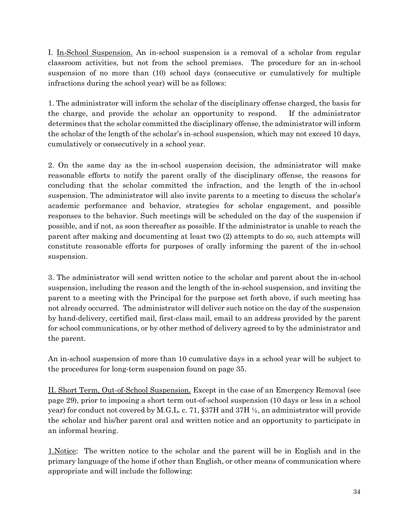I. In-School Suspension. An in-school suspension is a removal of a scholar from regular classroom activities, but not from the school premises. The procedure for an in-school suspension of no more than (10) school days (consecutive or cumulatively for multiple infractions during the school year) will be as follows:

1. The administrator will inform the scholar of the disciplinary offense charged, the basis for the charge, and provide the scholar an opportunity to respond. If the administrator determines that the scholar committed the disciplinary offense, the administrator will inform the scholar of the length of the scholar's in-school suspension, which may not exceed 10 days, cumulatively or consecutively in a school year.

2. On the same day as the in-school suspension decision, the administrator will make reasonable efforts to notify the parent orally of the disciplinary offense, the reasons for concluding that the scholar committed the infraction, and the length of the in-school suspension. The administrator will also invite parents to a meeting to discuss the scholar's academic performance and behavior, strategies for scholar engagement, and possible responses to the behavior. Such meetings will be scheduled on the day of the suspension if possible, and if not, as soon thereafter as possible. If the administrator is unable to reach the parent after making and documenting at least two (2) attempts to do so, such attempts will constitute reasonable efforts for purposes of orally informing the parent of the in-school suspension.

3. The administrator will send written notice to the scholar and parent about the in-school suspension, including the reason and the length of the in-school suspension, and inviting the parent to a meeting with the Principal for the purpose set forth above, if such meeting has not already occurred. The administrator will deliver such notice on the day of the suspension by hand-delivery, certified mail, first-class mail, email to an address provided by the parent for school communications, or by other method of delivery agreed to by the administrator and the parent.

An in-school suspension of more than 10 cumulative days in a school year will be subject to the procedures for long-term suspension found on page 35.

II. Short Term, Out-of-School Suspension. Except in the case of an Emergency Removal (see page 29), prior to imposing a short term out-of-school suspension (10 days or less in a school year) for conduct not covered by M.G.L. c. 71, §37H and 37H ½, an administrator will provide the scholar and his/her parent oral and written notice and an opportunity to participate in an informal hearing.

1.Notice: The written notice to the scholar and the parent will be in English and in the primary language of the home if other than English, or other means of communication where appropriate and will include the following: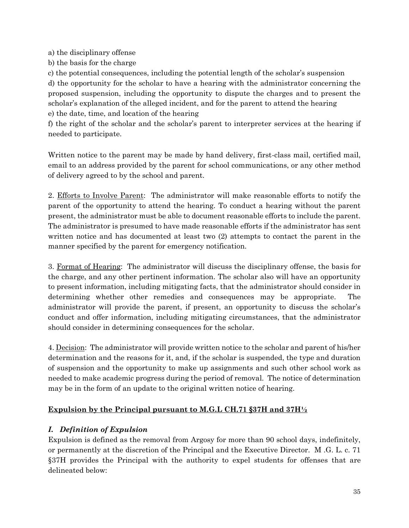a) the disciplinary offense

b) the basis for the charge

c) the potential consequences, including the potential length of the scholar's suspension d) the opportunity for the scholar to have a hearing with the administrator concerning the proposed suspension, including the opportunity to dispute the charges and to present the scholar's explanation of the alleged incident, and for the parent to attend the hearing e) the date, time, and location of the hearing

f) the right of the scholar and the scholar's parent to interpreter services at the hearing if needed to participate.

Written notice to the parent may be made by hand delivery, first-class mail, certified mail, email to an address provided by the parent for school communications, or any other method of delivery agreed to by the school and parent.

2. Efforts to Involve Parent: The administrator will make reasonable efforts to notify the parent of the opportunity to attend the hearing. To conduct a hearing without the parent present, the administrator must be able to document reasonable efforts to include the parent. The administrator is presumed to have made reasonable efforts if the administrator has sent written notice and has documented at least two (2) attempts to contact the parent in the manner specified by the parent for emergency notification.

3. Format of Hearing: The administrator will discuss the disciplinary offense, the basis for the charge, and any other pertinent information. The scholar also will have an opportunity to present information, including mitigating facts, that the administrator should consider in determining whether other remedies and consequences may be appropriate. The administrator will provide the parent, if present, an opportunity to discuss the scholar's conduct and offer information, including mitigating circumstances, that the administrator should consider in determining consequences for the scholar.

4. Decision: The administrator will provide written notice to the scholar and parent of his/her determination and the reasons for it, and, if the scholar is suspended, the type and duration of suspension and the opportunity to make up assignments and such other school work as needed to make academic progress during the period of removal. The notice of determination may be in the form of an update to the original written notice of hearing.

## **Expulsion by the Principal pursuant to M.G.L CH.71 §37H and 37H½**

## *I. Definition of Expulsion*

Expulsion is defined as the removal from Argosy for more than 90 school days, indefinitely, or permanently at the discretion of the Principal and the Executive Director. M .G. L. c. 71 §37H provides the Principal with the authority to expel students for offenses that are delineated below: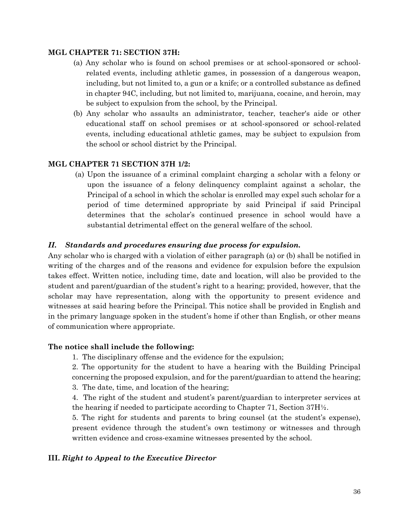#### **MGL CHAPTER 71: SECTION 37H:**

- (a) Any scholar who is found on school premises or at school-sponsored or schoolrelated events, including athletic games, in possession of a dangerous weapon, including, but not limited to, a gun or a knife; or a controlled substance as defined in chapter 94C, including, but not limited to, marijuana, cocaine, and heroin, may be subject to expulsion from the school, by the Principal.
- (b) Any scholar who assaults an administrator, teacher, teacher's aide or other educational staff on school premises or at school-sponsored or school-related events, including educational athletic games, may be subject to expulsion from the school or school district by the Principal.

#### **MGL CHAPTER 71 SECTION 37H 1/2:**

(a) Upon the issuance of a criminal complaint charging a scholar with a felony or upon the issuance of a felony delinquency complaint against a scholar, the Principal of a school in which the scholar is enrolled may expel such scholar for a period of time determined appropriate by said Principal if said Principal determines that the scholar's continued presence in school would have a substantial detrimental effect on the general welfare of the school.

#### *II. Standards and procedures ensuring due process for expulsion.*

Any scholar who is charged with a violation of either paragraph (a) or (b) shall be notified in writing of the charges and of the reasons and evidence for expulsion before the expulsion takes effect. Written notice, including time, date and location, will also be provided to the student and parent/guardian of the student's right to a hearing; provided, however, that the scholar may have representation, along with the opportunity to present evidence and witnesses at said hearing before the Principal. This notice shall be provided in English and in the primary language spoken in the student's home if other than English, or other means of communication where appropriate.

#### **The notice shall include the following:**

1. The disciplinary offense and the evidence for the expulsion;

2. The opportunity for the student to have a hearing with the Building Principal concerning the proposed expulsion, and for the parent/guardian to attend the hearing;

3. The date, time, and location of the hearing;

4. The right of the student and student's parent/guardian to interpreter services at the hearing if needed to participate according to Chapter 71, Section  $37H\frac{1}{2}$ .

5. The right for students and parents to bring counsel (at the student's expense), present evidence through the student's own testimony or witnesses and through written evidence and cross-examine witnesses presented by the school.

#### **III.** *Right to Appeal to the Executive Director*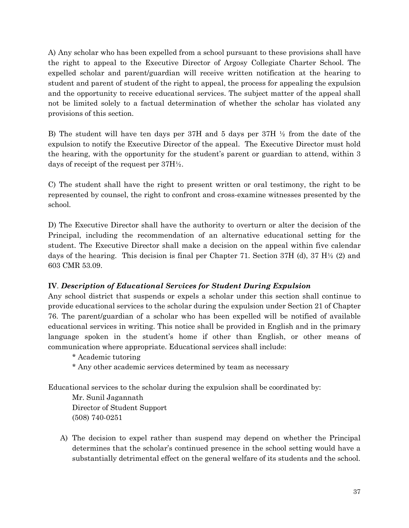A) Any scholar who has been expelled from a school pursuant to these provisions shall have the right to appeal to the Executive Director of Argosy Collegiate Charter School. The expelled scholar and parent/guardian will receive written notification at the hearing to student and parent of student of the right to appeal, the process for appealing the expulsion and the opportunity to receive educational services. The subject matter of the appeal shall not be limited solely to a factual determination of whether the scholar has violated any provisions of this section.

B) The student will have ten days per 37H and 5 days per 37H ½ from the date of the expulsion to notify the Executive Director of the appeal. The Executive Director must hold the hearing, with the opportunity for the student's parent or guardian to attend, within 3 days of receipt of the request per 37H½.

C) The student shall have the right to present written or oral testimony, the right to be represented by counsel, the right to confront and cross-examine witnesses presented by the school.

D) The Executive Director shall have the authority to overturn or alter the decision of the Principal, including the recommendation of an alternative educational setting for the student. The Executive Director shall make a decision on the appeal within five calendar days of the hearing. This decision is final per Chapter 71. Section 37H (d), 37 H½ (2) and 603 CMR 53.09.

### **IV***. Description of Educational Services for Student During Expulsion*

Any school district that suspends or expels a scholar under this section shall continue to provide educational services to the scholar during the expulsion under Section 21 of Chapter 76. The parent/guardian of a scholar who has been expelled will be notified of available educational services in writing. This notice shall be provided in English and in the primary language spoken in the student's home if other than English, or other means of communication where appropriate. Educational services shall include:

\* Academic tutoring

\* Any other academic services determined by team as necessary

Educational services to the scholar during the expulsion shall be coordinated by:

 Mr. Sunil Jagannath Director of Student Support (508) 740-0251

A) The decision to expel rather than suspend may depend on whether the Principal determines that the scholar's continued presence in the school setting would have a substantially detrimental effect on the general welfare of its students and the school.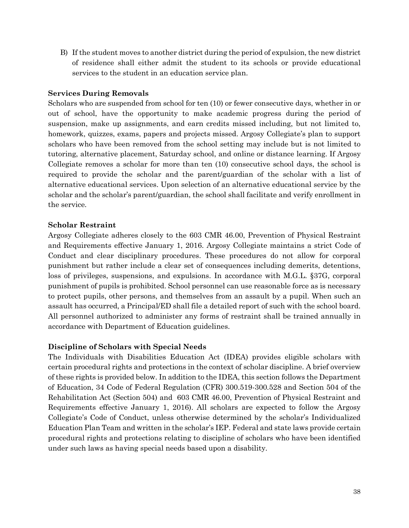B) If the student moves to another district during the period of expulsion, the new district of residence shall either admit the student to its schools or provide educational services to the student in an education service plan.

### **Services During Removals**

Scholars who are suspended from school for ten (10) or fewer consecutive days, whether in or out of school, have the opportunity to make academic progress during the period of suspension, make up assignments, and earn credits missed including, but not limited to, homework, quizzes, exams, papers and projects missed. Argosy Collegiate's plan to support scholars who have been removed from the school setting may include but is not limited to tutoring, alternative placement, Saturday school, and online or distance learning. If Argosy Collegiate removes a scholar for more than ten (10) consecutive school days, the school is required to provide the scholar and the parent/guardian of the scholar with a list of alternative educational services. Upon selection of an alternative educational service by the scholar and the scholar's parent/guardian, the school shall facilitate and verify enrollment in the service.

### **Scholar Restraint**

Argosy Collegiate adheres closely to the 603 CMR 46.00, Prevention of Physical Restraint and Requirements effective January 1, 2016. Argosy Collegiate maintains a strict Code of Conduct and clear disciplinary procedures. These procedures do not allow for corporal punishment but rather include a clear set of consequences including demerits, detentions, loss of privileges, suspensions, and expulsions. In accordance with M.G.L. §37G, corporal punishment of pupils is prohibited. School personnel can use reasonable force as is necessary to protect pupils, other persons, and themselves from an assault by a pupil. When such an assault has occurred, a Principal/ED shall file a detailed report of such with the school board. All personnel authorized to administer any forms of restraint shall be trained annually in accordance with Department of Education guidelines.

### **Discipline of Scholars with Special Needs**

The Individuals with Disabilities Education Act (IDEA) provides eligible scholars with certain procedural rights and protections in the context of scholar discipline. A brief overview of these rights is provided below. In addition to the IDEA, this section follows the Department of Education, 34 Code of Federal Regulation (CFR) 300.519-300.528 and Section 504 of the Rehabilitation Act (Section 504) and 603 CMR 46.00, Prevention of Physical Restraint and Requirements effective January 1, 2016). All scholars are expected to follow the Argosy Collegiate's Code of Conduct, unless otherwise determined by the scholar's Individualized Education Plan Team and written in the scholar's IEP. Federal and state laws provide certain procedural rights and protections relating to discipline of scholars who have been identified under such laws as having special needs based upon a disability.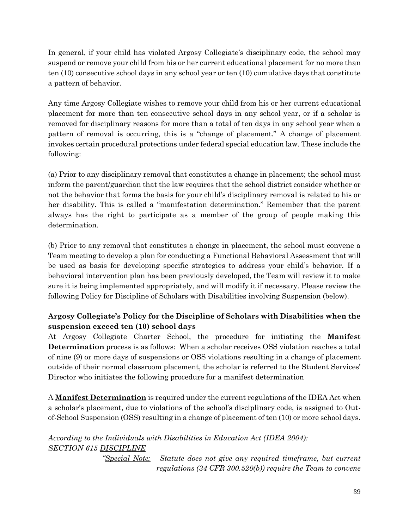In general, if your child has violated Argosy Collegiate's disciplinary code, the school may suspend or remove your child from his or her current educational placement for no more than ten (10) consecutive school days in any school year or ten (10) cumulative days that constitute a pattern of behavior.

Any time Argosy Collegiate wishes to remove your child from his or her current educational placement for more than ten consecutive school days in any school year, or if a scholar is removed for disciplinary reasons for more than a total of ten days in any school year when a pattern of removal is occurring, this is a "change of placement." A change of placement invokes certain procedural protections under federal special education law. These include the following:

(a) Prior to any disciplinary removal that constitutes a change in placement; the school must inform the parent/guardian that the law requires that the school district consider whether or not the behavior that forms the basis for your child's disciplinary removal is related to his or her disability. This is called a "manifestation determination." Remember that the parent always has the right to participate as a member of the group of people making this determination.

(b) Prior to any removal that constitutes a change in placement, the school must convene a Team meeting to develop a plan for conducting a Functional Behavioral Assessment that will be used as basis for developing specific strategies to address your child's behavior. If a behavioral intervention plan has been previously developed, the Team will review it to make sure it is being implemented appropriately, and will modify it if necessary. Please review the following Policy for Discipline of Scholars with Disabilities involving Suspension (below).

## **Argosy Collegiate's Policy for the Discipline of Scholars with Disabilities when the suspension exceed ten (10) school days**

At Argosy Collegiate Charter School, the procedure for initiating the **Manifest Determination** process is as follows: When a scholar receives OSS violation reaches a total of nine (9) or more days of suspensions or OSS violations resulting in a change of placement outside of their normal classroom placement, the scholar is referred to the Student Services' Director who initiates the following procedure for a manifest determination

A **Manifest Determination** is required under the current regulations of the IDEA Act when a scholar's placement, due to violations of the school's disciplinary code, is assigned to Outof-School Suspension (OSS) resulting in a change of placement of ten (10) or more school days.

*According to the Individuals with Disabilities in Education Act (IDEA 2004): SECTION 615 DISCIPLINE*

> *"Special Note: Statute does not give any required timeframe, but current regulations (34 CFR 300.520(b)) require the Team to convene*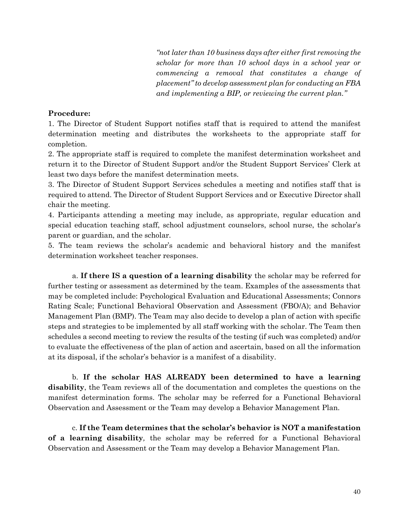*"not later than 10 business days after either first removing the scholar for more than 10 school days in a school year or commencing a removal that constitutes a change of placement" to develop assessment plan for conducting an FBA and implementing a BIP, or reviewing the current plan."*

#### **Procedure:**

1. The Director of Student Support notifies staff that is required to attend the manifest determination meeting and distributes the worksheets to the appropriate staff for completion.

2. The appropriate staff is required to complete the manifest determination worksheet and return it to the Director of Student Support and/or the Student Support Services' Clerk at least two days before the manifest determination meets.

3. The Director of Student Support Services schedules a meeting and notifies staff that is required to attend. The Director of Student Support Services and or Executive Director shall chair the meeting.

4. Participants attending a meeting may include, as appropriate, regular education and special education teaching staff, school adjustment counselors, school nurse, the scholar's parent or guardian, and the scholar.

5. The team reviews the scholar's academic and behavioral history and the manifest determination worksheet teacher responses.

a. **If there IS a question of a learning disability** the scholar may be referred for further testing or assessment as determined by the team. Examples of the assessments that may be completed include: Psychological Evaluation and Educational Assessments; Connors Rating Scale; Functional Behavioral Observation and Assessment (FBO/A); and Behavior Management Plan (BMP). The Team may also decide to develop a plan of action with specific steps and strategies to be implemented by all staff working with the scholar. The Team then schedules a second meeting to review the results of the testing (if such was completed) and/or to evaluate the effectiveness of the plan of action and ascertain, based on all the information at its disposal, if the scholar's behavior is a manifest of a disability.

b. **If the scholar HAS ALREADY been determined to have a learning disability**, the Team reviews all of the documentation and completes the questions on the manifest determination forms. The scholar may be referred for a Functional Behavioral Observation and Assessment or the Team may develop a Behavior Management Plan.

c. **If the Team determines that the scholar's behavior is NOT a manifestation of a learning disability***,* the scholar may be referred for a Functional Behavioral Observation and Assessment or the Team may develop a Behavior Management Plan.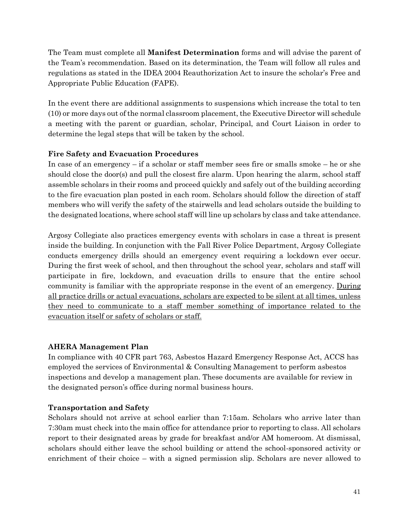The Team must complete all **Manifest Determination** forms and will advise the parent of the Team's recommendation. Based on its determination, the Team will follow all rules and regulations as stated in the IDEA 2004 Reauthorization Act to insure the scholar's Free and Appropriate Public Education (FAPE).

In the event there are additional assignments to suspensions which increase the total to ten (10) or more days out of the normal classroom placement, the Executive Director will schedule a meeting with the parent or guardian, scholar, Principal, and Court Liaison in order to determine the legal steps that will be taken by the school.

## **Fire Safety and Evacuation Procedures**

In case of an emergency – if a scholar or staff member sees fire or smalls smoke – he or she should close the door(s) and pull the closest fire alarm. Upon hearing the alarm, school staff assemble scholars in their rooms and proceed quickly and safely out of the building according to the fire evacuation plan posted in each room. Scholars should follow the direction of staff members who will verify the safety of the stairwells and lead scholars outside the building to the designated locations, where school staff will line up scholars by class and take attendance.

Argosy Collegiate also practices emergency events with scholars in case a threat is present inside the building. In conjunction with the Fall River Police Department, Argosy Collegiate conducts emergency drills should an emergency event requiring a lockdown ever occur. During the first week of school, and then throughout the school year, scholars and staff will participate in fire, lockdown, and evacuation drills to ensure that the entire school community is familiar with the appropriate response in the event of an emergency. During all practice drills or actual evacuations, scholars are expected to be silent at all times, unless they need to communicate to a staff member something of importance related to the evacuation itself or safety of scholars or staff.

### **AHERA Management Plan**

In compliance with 40 CFR part 763, Asbestos Hazard Emergency Response Act, ACCS has employed the services of Environmental & Consulting Management to perform asbestos inspections and develop a management plan. These documents are available for review in the designated person's office during normal business hours.

### **Transportation and Safety**

Scholars should not arrive at school earlier than 7:15am. Scholars who arrive later than 7:30am must check into the main office for attendance prior to reporting to class. All scholars report to their designated areas by grade for breakfast and/or AM homeroom. At dismissal, scholars should either leave the school building or attend the school-sponsored activity or enrichment of their choice – with a signed permission slip. Scholars are never allowed to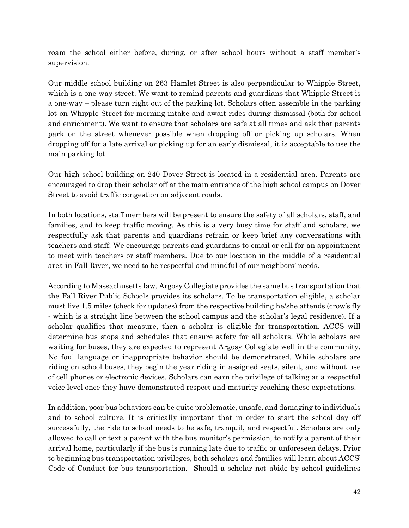roam the school either before, during, or after school hours without a staff member's supervision.

Our middle school building on 263 Hamlet Street is also perpendicular to Whipple Street, which is a one-way street. We want to remind parents and guardians that Whipple Street is a one-way – please turn right out of the parking lot. Scholars often assemble in the parking lot on Whipple Street for morning intake and await rides during dismissal (both for school and enrichment). We want to ensure that scholars are safe at all times and ask that parents park on the street whenever possible when dropping off or picking up scholars. When dropping off for a late arrival or picking up for an early dismissal, it is acceptable to use the main parking lot.

Our high school building on 240 Dover Street is located in a residential area. Parents are encouraged to drop their scholar off at the main entrance of the high school campus on Dover Street to avoid traffic congestion on adjacent roads.

In both locations, staff members will be present to ensure the safety of all scholars, staff, and families, and to keep traffic moving. As this is a very busy time for staff and scholars, we respectfully ask that parents and guardians refrain or keep brief any conversations with teachers and staff. We encourage parents and guardians to email or call for an appointment to meet with teachers or staff members. Due to our location in the middle of a residential area in Fall River, we need to be respectful and mindful of our neighbors' needs.

According to Massachusetts law, Argosy Collegiate provides the same bus transportation that the Fall River Public Schools provides its scholars. To be transportation eligible, a scholar must live 1.5 miles (check for updates) from the respective building he/she attends (crow's fly - which is a straight line between the school campus and the scholar's legal residence). If a scholar qualifies that measure, then a scholar is eligible for transportation. ACCS will determine bus stops and schedules that ensure safety for all scholars. While scholars are waiting for buses, they are expected to represent Argosy Collegiate well in the community. No foul language or inappropriate behavior should be demonstrated. While scholars are riding on school buses, they begin the year riding in assigned seats, silent, and without use of cell phones or electronic devices. Scholars can earn the privilege of talking at a respectful voice level once they have demonstrated respect and maturity reaching these expectations.

In addition, poor bus behaviors can be quite problematic, unsafe, and damaging to individuals and to school culture. It is critically important that in order to start the school day off successfully, the ride to school needs to be safe, tranquil, and respectful. Scholars are only allowed to call or text a parent with the bus monitor's permission, to notify a parent of their arrival home, particularly if the bus is running late due to traffic or unforeseen delays. Prior to beginning bus transportation privileges, both scholars and families will learn about ACCS' Code of Conduct for bus transportation. Should a scholar not abide by school guidelines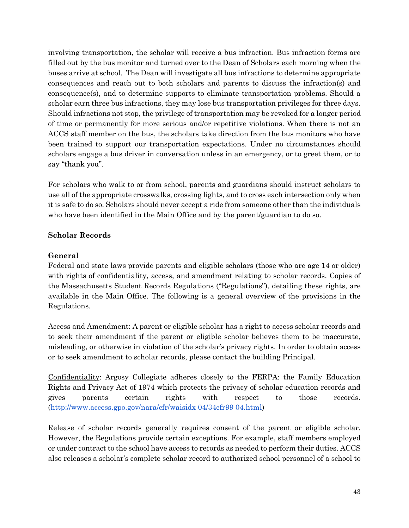involving transportation, the scholar will receive a bus infraction. Bus infraction forms are filled out by the bus monitor and turned over to the Dean of Scholars each morning when the buses arrive at school. The Dean will investigate all bus infractions to determine appropriate consequences and reach out to both scholars and parents to discuss the infraction(s) and consequence(s), and to determine supports to eliminate transportation problems. Should a scholar earn three bus infractions, they may lose bus transportation privileges for three days. Should infractions not stop, the privilege of transportation may be revoked for a longer period of time or permanently for more serious and/or repetitive violations. When there is not an ACCS staff member on the bus, the scholars take direction from the bus monitors who have been trained to support our transportation expectations. Under no circumstances should scholars engage a bus driver in conversation unless in an emergency, or to greet them, or to say "thank you".

For scholars who walk to or from school, parents and guardians should instruct scholars to use all of the appropriate crosswalks, crossing lights, and to cross each intersection only when it is safe to do so. Scholars should never accept a ride from someone other than the individuals who have been identified in the Main Office and by the parent/guardian to do so.

### **Scholar Records**

### **General**

Federal and state laws provide parents and eligible scholars (those who are age 14 or older) with rights of confidentiality, access, and amendment relating to scholar records. Copies of the Massachusetts Student Records Regulations ("Regulations"), detailing these rights, are available in the Main Office. The following is a general overview of the provisions in the Regulations.

Access and Amendment: A parent or eligible scholar has a right to access scholar records and to seek their amendment if the parent or eligible scholar believes them to be inaccurate, misleading, or otherwise in violation of the scholar's privacy rights. In order to obtain access or to seek amendment to scholar records, please contact the building Principal.

Confidentiality: Argosy Collegiate adheres closely to the FERPA: the Family Education Rights and Privacy Act of 1974 which protects the privacy of scholar education records and gives parents certain rights with respect to those records. [\(http://www.access.gpo.gov/nara/cfr/waisidx 04/34cfr99 04.html\)](http://www.access.gpo.gov/nara/cfr/waisidx%2004/34cfr99%2004.html)

Release of scholar records generally requires consent of the parent or eligible scholar. However, the Regulations provide certain exceptions. For example, staff members employed or under contract to the school have access to records as needed to perform their duties. ACCS also releases a scholar's complete scholar record to authorized school personnel of a school to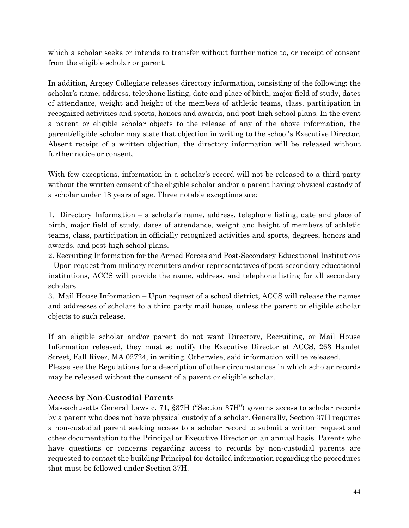which a scholar seeks or intends to transfer without further notice to, or receipt of consent from the eligible scholar or parent.

In addition, Argosy Collegiate releases directory information, consisting of the following: the scholar's name, address, telephone listing, date and place of birth, major field of study, dates of attendance, weight and height of the members of athletic teams, class, participation in recognized activities and sports, honors and awards, and post-high school plans. In the event a parent or eligible scholar objects to the release of any of the above information, the parent/eligible scholar may state that objection in writing to the school's Executive Director. Absent receipt of a written objection, the directory information will be released without further notice or consent.

With few exceptions, information in a scholar's record will not be released to a third party without the written consent of the eligible scholar and/or a parent having physical custody of a scholar under 18 years of age. Three notable exceptions are:

1. Directory Information **–** a scholar's name, address, telephone listing, date and place of birth, major field of study, dates of attendance, weight and height of members of athletic teams, class, participation in officially recognized activities and sports, degrees, honors and awards, and post-high school plans.

2. Recruiting Information for the Armed Forces and Post-Secondary Educational Institutions **–** Upon request from military recruiters and/or representatives of post-secondary educational institutions, ACCS will provide the name, address, and telephone listing for all secondary scholars.

3. Mail House Information – Upon request of a school district, ACCS will release the names and addresses of scholars to a third party mail house, unless the parent or eligible scholar objects to such release.

If an eligible scholar and/or parent do not want Directory, Recruiting, or Mail House Information released, they must so notify the Executive Director at ACCS, 263 Hamlet Street, Fall River, MA 02724, in writing. Otherwise, said information will be released.

Please see the Regulations for a description of other circumstances in which scholar records may be released without the consent of a parent or eligible scholar.

### **Access by Non-Custodial Parents**

Massachusetts General Laws c. 71, §37H ("Section 37H") governs access to scholar records by a parent who does not have physical custody of a scholar. Generally, Section 37H requires a non-custodial parent seeking access to a scholar record to submit a written request and other documentation to the Principal or Executive Director on an annual basis. Parents who have questions or concerns regarding access to records by non-custodial parents are requested to contact the building Principal for detailed information regarding the procedures that must be followed under Section 37H.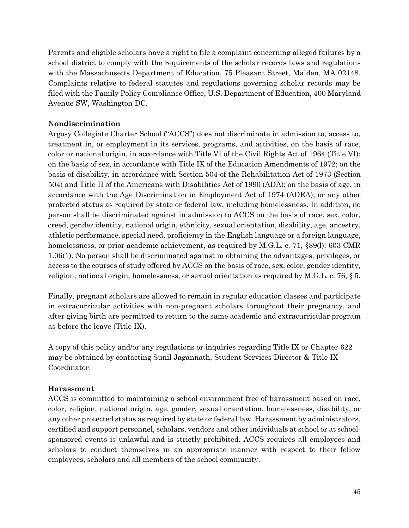Parents and eligible scholars have a right to file a complaint concerning alleged failures by a school district to comply with the requirements of the scholar records laws and regulations with the Massachusetts Department of Education, 75 Pleasant Street, Malden, MA 02148. Complaints relative to federal statutes and regulations governing scholar records may be filed with the Family Policy Compliance Office, U.S. Department of Education, 400 Maryland Avenue SW, Washington DC.

### **Nondiscrimination**

Argosy Collegiate Charter School ("ACCS") does not discriminate in admission to, access to, treatment in, or employment in its services, programs, and activities, on the basis of race, color or national origin, in accordance with Title VI of the Civil Rights Act of 1964 (Title VI); on the basis of sex, in accordance with Title IX of the Education Amendments of 1972; on the basis of disability, in accordance with Section 504 of the Rehabilitation Act of 1973 (Section 504) and Title II of the Americans with Disabilities Act of 1990 (ADA); on the basis of age, in accordance with the Age Discrimination in Employment Act of 1974 (ADEA); or any other protected status as required by state or federal law, including homelessness. In addition, no person shall be discriminated against in admission to ACCS on the basis of race, sex, color, creed, gender identity, national origin, ethnicity, sexual orientation, disability, age, ancestry, athletic performance, special need, proficiency in the English language or a foreign language, homelessness, or prior academic achievement, as required by M.G.L. c. 71, §89(1); 603 CMR 1.06(1). No person shall be discriminated against in obtaining the advantages, privileges, or access to the courses of study offered by ACCS on the basis of race, sex, color, gender identity, religion, national origin, homelessness, or sexual orientation as required by M.G.L. c. 76, § 5.

Finally, pregnant scholars are allowed to remain in regular education classes and participate in extracurricular activities with non-pregnant scholars throughout their pregnancy, and after giving birth are permitted to return to the same academic and extracurricular program as before the leave (Title IX).

A copy of this policy and/or any regulations or inquiries regarding Title IX or Chapter 622 may be obtained by contacting Sunil Jagannath, Student Services Director & Title IX Coordinator.

### **Harassment**

ACCS is committed to maintaining a school environment free of harassment based on race, color, religion, national origin, age, gender, sexual orientation, homelessness, disability, or any other protected status as required by state or federal law. Harassment by administrators, certified and support personnel, scholars, vendors and other individuals at school or at schoolsponsored events is unlawful and is strictly prohibited. ACCS requires all employees and scholars to conduct themselves in an appropriate manner with respect to their fellow employees, scholars and all members of the school community.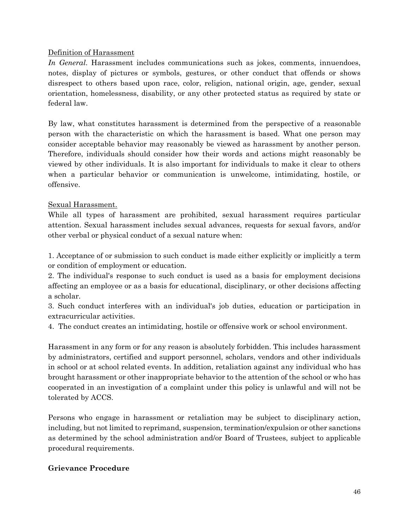### Definition of Harassment

*In General*. Harassment includes communications such as jokes, comments, innuendoes, notes, display of pictures or symbols, gestures, or other conduct that offends or shows disrespect to others based upon race, color, religion, national origin, age, gender, sexual orientation, homelessness, disability, or any other protected status as required by state or federal law.

By law, what constitutes harassment is determined from the perspective of a reasonable person with the characteristic on which the harassment is based. What one person may consider acceptable behavior may reasonably be viewed as harassment by another person. Therefore, individuals should consider how their words and actions might reasonably be viewed by other individuals. It is also important for individuals to make it clear to others when a particular behavior or communication is unwelcome, intimidating, hostile, or offensive.

### Sexual Harassment.

While all types of harassment are prohibited, sexual harassment requires particular attention. Sexual harassment includes sexual advances, requests for sexual favors, and/or other verbal or physical conduct of a sexual nature when:

1. Acceptance of or submission to such conduct is made either explicitly or implicitly a term or condition of employment or education.

2. The individual's response to such conduct is used as a basis for employment decisions affecting an employee or as a basis for educational, disciplinary, or other decisions affecting a scholar.

3. Such conduct interferes with an individual's job duties, education or participation in extracurricular activities.

4. The conduct creates an intimidating, hostile or offensive work or school environment.

Harassment in any form or for any reason is absolutely forbidden. This includes harassment by administrators, certified and support personnel, scholars, vendors and other individuals in school or at school related events. In addition, retaliation against any individual who has brought harassment or other inappropriate behavior to the attention of the school or who has cooperated in an investigation of a complaint under this policy is unlawful and will not be tolerated by ACCS.

Persons who engage in harassment or retaliation may be subject to disciplinary action, including, but not limited to reprimand, suspension, termination/expulsion or other sanctions as determined by the school administration and/or Board of Trustees, subject to applicable procedural requirements.

### **Grievance Procedure**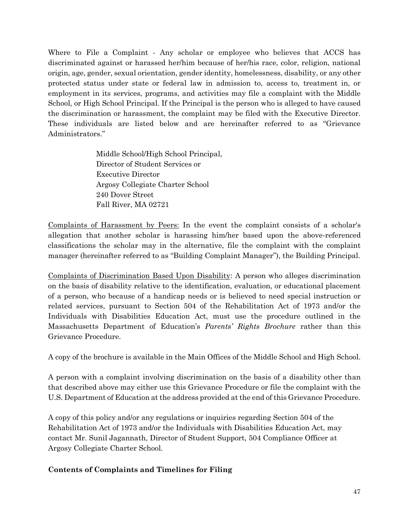Where to File a Complaint - Any scholar or employee who believes that ACCS has discriminated against or harassed her/him because of her/his race, color, religion, national origin, age, gender, sexual orientation, gender identity, homelessness, disability, or any other protected status under state or federal law in admission to, access to, treatment in, or employment in its services, programs, and activities may file a complaint with the Middle School, or High School Principal. If the Principal is the person who is alleged to have caused the discrimination or harassment, the complaint may be filed with the Executive Director. These individuals are listed below and are hereinafter referred to as "Grievance Administrators."

> Middle School/High School Principal, Director of Student Services or Executive Director Argosy Collegiate Charter School 240 Dover Street Fall River, MA 02721

Complaints of Harassment by Peers: In the event the complaint consists of a scholar's allegation that another scholar is harassing him/her based upon the above-referenced classifications the scholar may in the alternative, file the complaint with the complaint manager (hereinafter referred to as "Building Complaint Manager"), the Building Principal.

Complaints of Discrimination Based Upon Disability: A person who alleges discrimination on the basis of disability relative to the identification, evaluation, or educational placement of a person, who because of a handicap needs or is believed to need special instruction or related services, pursuant to Section 504 of the Rehabilitation Act of 1973 and/or the Individuals with Disabilities Education Act, must use the procedure outlined in the Massachusetts Department of Education's *Parents' Rights Brochure* rather than this Grievance Procedure.

A copy of the brochure is available in the Main Offices of the Middle School and High School.

A person with a complaint involving discrimination on the basis of a disability other than that described above may either use this Grievance Procedure or file the complaint with the U.S. Department of Education at the address provided at the end of this Grievance Procedure.

A copy of this policy and/or any regulations or inquiries regarding Section 504 of the Rehabilitation Act of 1973 and/or the Individuals with Disabilities Education Act, may contact Mr. Sunil Jagannath, Director of Student Support, 504 Compliance Officer at Argosy Collegiate Charter School.

### **Contents of Complaints and Timelines for Filing**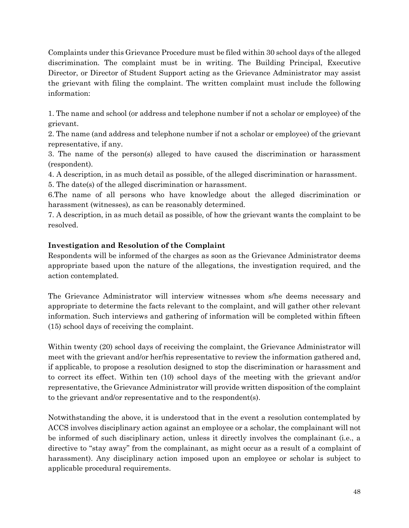Complaints under this Grievance Procedure must be filed within 30 school days of the alleged discrimination. The complaint must be in writing. The Building Principal, Executive Director, or Director of Student Support acting as the Grievance Administrator may assist the grievant with filing the complaint. The written complaint must include the following information:

1. The name and school (or address and telephone number if not a scholar or employee) of the grievant.

2. The name (and address and telephone number if not a scholar or employee) of the grievant representative, if any.

3. The name of the person(s) alleged to have caused the discrimination or harassment (respondent).

4. A description, in as much detail as possible, of the alleged discrimination or harassment.

5. The date(s) of the alleged discrimination or harassment. 6.The name of all persons who have knowledge about the alleged discrimination or

harassment (witnesses), as can be reasonably determined. 7. A description, in as much detail as possible, of how the grievant wants the complaint to be resolved.

## **Investigation and Resolution of the Complaint**

Respondents will be informed of the charges as soon as the Grievance Administrator deems appropriate based upon the nature of the allegations, the investigation required, and the action contemplated.

The Grievance Administrator will interview witnesses whom s/he deems necessary and appropriate to determine the facts relevant to the complaint, and will gather other relevant information. Such interviews and gathering of information will be completed within fifteen (15) school days of receiving the complaint.

Within twenty (20) school days of receiving the complaint, the Grievance Administrator will meet with the grievant and/or her/his representative to review the information gathered and, if applicable, to propose a resolution designed to stop the discrimination or harassment and to correct its effect. Within ten (10) school days of the meeting with the grievant and/or representative, the Grievance Administrator will provide written disposition of the complaint to the grievant and/or representative and to the respondent(s).

Notwithstanding the above, it is understood that in the event a resolution contemplated by ACCS involves disciplinary action against an employee or a scholar, the complainant will not be informed of such disciplinary action, unless it directly involves the complainant (i.e., a directive to "stay away" from the complainant, as might occur as a result of a complaint of harassment). Any disciplinary action imposed upon an employee or scholar is subject to applicable procedural requirements.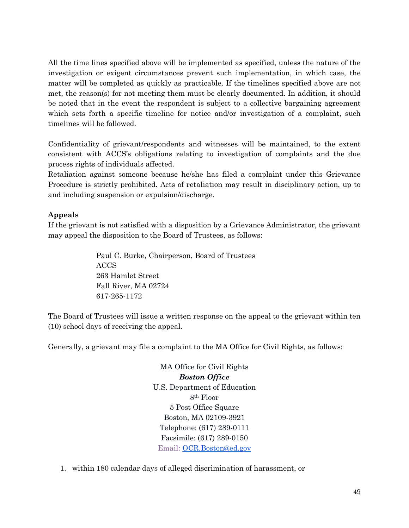All the time lines specified above will be implemented as specified, unless the nature of the investigation or exigent circumstances prevent such implementation, in which case, the matter will be completed as quickly as practicable. If the timelines specified above are not met, the reason(s) for not meeting them must be clearly documented. In addition, it should be noted that in the event the respondent is subject to a collective bargaining agreement which sets forth a specific timeline for notice and/or investigation of a complaint, such timelines will be followed.

Confidentiality of grievant/respondents and witnesses will be maintained, to the extent consistent with ACCS's obligations relating to investigation of complaints and the due process rights of individuals affected.

Retaliation against someone because he/she has filed a complaint under this Grievance Procedure is strictly prohibited. Acts of retaliation may result in disciplinary action, up to and including suspension or expulsion/discharge.

## **Appeals**

If the grievant is not satisfied with a disposition by a Grievance Administrator, the grievant may appeal the disposition to the Board of Trustees, as follows:

> Paul C. Burke, Chairperson, Board of Trustees ACCS 263 Hamlet Street Fall River, MA 02724 617-265-1172

The Board of Trustees will issue a written response on the appeal to the grievant within ten (10) school days of receiving the appeal.

Generally, a grievant may file a complaint to the MA Office for Civil Rights, as follows:

MA Office for Civil Rights *Boston Office* U.S. Department of Education 8th Floor 5 Post Office Square Boston, MA 02109-3921 Telephone: (617) 289-0111 Facsimile: (617) 289-0150 Email: [OCR.Boston@ed.gov](mailto:OCR.Boston@ed.gov)

1. within 180 calendar days of alleged discrimination of harassment, or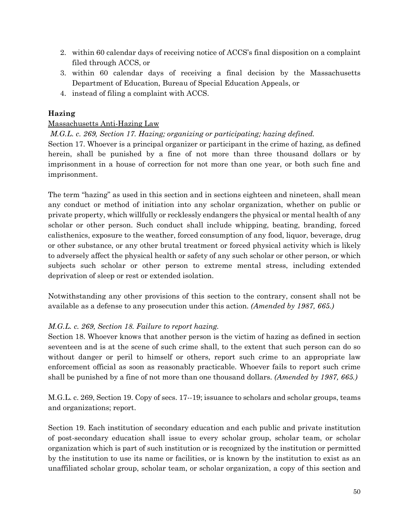- 2. within 60 calendar days of receiving notice of ACCS's final disposition on a complaint filed through ACCS, or
- 3. within 60 calendar days of receiving a final decision by the Massachusetts Department of Education, Bureau of Special Education Appeals, or
- 4. instead of filing a complaint with ACCS.

## **Hazing**

## Massachusetts Anti-Hazing Law

## *M.G.L. c. 269, Section 17. Hazing; organizing or participating; hazing defined.*

Section 17. Whoever is a principal organizer or participant in the crime of hazing, as defined herein, shall be punished by a fine of not more than three thousand dollars or by imprisonment in a house of correction for not more than one year, or both such fine and imprisonment.

The term "hazing" as used in this section and in sections eighteen and nineteen, shall mean any conduct or method of initiation into any scholar organization, whether on public or private property, which willfully or recklessly endangers the physical or mental health of any scholar or other person. Such conduct shall include whipping, beating, branding, forced calisthenics, exposure to the weather, forced consumption of any food, liquor, beverage, drug or other substance, or any other brutal treatment or forced physical activity which is likely to adversely affect the physical health or safety of any such scholar or other person, or which subjects such scholar or other person to extreme mental stress, including extended deprivation of sleep or rest or extended isolation.

Notwithstanding any other provisions of this section to the contrary, consent shall not be available as a defense to any prosecution under this action. *(Amended by 1987, 665.)*

### *M.G.L. c. 269, Section 18. Failure to report hazing.*

Section 18. Whoever knows that another person is the victim of hazing as defined in section seventeen and is at the scene of such crime shall, to the extent that such person can do so without danger or peril to himself or others, report such crime to an appropriate law enforcement official as soon as reasonably practicable. Whoever fails to report such crime shall be punished by a fine of not more than one thousand dollars. *(Amended by 1987, 665.)*

M.G.L. c. 269, Section 19. Copy of secs. 17--19; issuance to scholars and scholar groups, teams and organizations; report.

Section 19. Each institution of secondary education and each public and private institution of post-secondary education shall issue to every scholar group, scholar team, or scholar organization which is part of such institution or is recognized by the institution or permitted by the institution to use its name or facilities, or is known by the institution to exist as an unaffiliated scholar group, scholar team, or scholar organization, a copy of this section and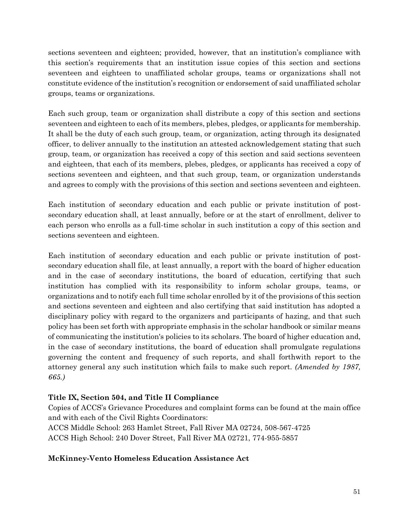sections seventeen and eighteen; provided, however, that an institution's compliance with this section's requirements that an institution issue copies of this section and sections seventeen and eighteen to unaffiliated scholar groups, teams or organizations shall not constitute evidence of the institution's recognition or endorsement of said unaffiliated scholar groups, teams or organizations.

Each such group, team or organization shall distribute a copy of this section and sections seventeen and eighteen to each of its members, plebes, pledges, or applicants for membership. It shall be the duty of each such group, team, or organization, acting through its designated officer, to deliver annually to the institution an attested acknowledgement stating that such group, team, or organization has received a copy of this section and said sections seventeen and eighteen, that each of its members, plebes, pledges, or applicants has received a copy of sections seventeen and eighteen, and that such group, team, or organization understands and agrees to comply with the provisions of this section and sections seventeen and eighteen.

Each institution of secondary education and each public or private institution of postsecondary education shall, at least annually, before or at the start of enrollment, deliver to each person who enrolls as a full-time scholar in such institution a copy of this section and sections seventeen and eighteen.

Each institution of secondary education and each public or private institution of postsecondary education shall file, at least annually, a report with the board of higher education and in the case of secondary institutions, the board of education, certifying that such institution has complied with its responsibility to inform scholar groups, teams, or organizations and to notify each full time scholar enrolled by it of the provisions of this section and sections seventeen and eighteen and also certifying that said institution has adopted a disciplinary policy with regard to the organizers and participants of hazing, and that such policy has been set forth with appropriate emphasis in the scholar handbook or similar means of communicating the institution's policies to its scholars. The board of higher education and, in the case of secondary institutions, the board of education shall promulgate regulations governing the content and frequency of such reports, and shall forthwith report to the attorney general any such institution which fails to make such report. *(Amended by 1987, 665.)*

## **Title IX, Section 504, and Title II Compliance**

Copies of ACCS's Grievance Procedures and complaint forms can be found at the main office and with each of the Civil Rights Coordinators:

ACCS Middle School: 263 Hamlet Street, Fall River MA 02724, 508-567-4725 ACCS High School: 240 Dover Street, Fall River MA 02721, 774-955-5857

## **McKinney-Vento Homeless Education Assistance Act**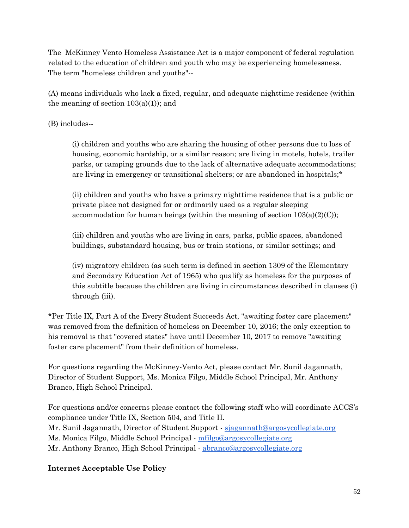The McKinney Vento Homeless Assistance Act is a major component of federal regulation related to the education of children and youth who may be experiencing homelessness. The term "homeless children and youths"--

(A) means individuals who lack a fixed, regular, and adequate nighttime residence (within the meaning of section  $103(a)(1)$ ; and

(B) includes--

(i) children and youths who are sharing the housing of other persons due to loss of housing, economic hardship, or a similar reason; are living in motels, hotels, trailer parks, or camping grounds due to the lack of alternative adequate accommodations; are living in emergency or transitional shelters; or are abandoned in hospitals;\*

(ii) children and youths who have a primary nighttime residence that is a public or private place not designed for or ordinarily used as a regular sleeping accommodation for human beings (within the meaning of section  $103(a)(2)(C)$ );

(iii) children and youths who are living in cars, parks, public spaces, abandoned buildings, substandard housing, bus or train stations, or similar settings; and

(iv) migratory children (as such term is defined in section 1309 of the Elementary and Secondary Education Act of 1965) who qualify as homeless for the purposes of this subtitle because the children are living in circumstances described in clauses (i) through (iii).

\*Per Title IX, Part A of the Every Student Succeeds Act, "awaiting foster care placement" was removed from the definition of homeless on December 10, 2016; the only exception to his removal is that "covered states" have until December 10, 2017 to remove "awaiting foster care placement" from their definition of homeless.

For questions regarding the McKinney-Vento Act, please contact Mr. Sunil Jagannath, Director of Student Support, Ms. Monica Filgo, Middle School Principal, Mr. Anthony Branco, High School Principal.

For questions and/or concerns please contact the following staff who will coordinate ACCS's compliance under Title IX, Section 504, and Title II. Mr. Sunil Jagannath, Director of Student Support - [sjagannath@argosycollegiate.org](mailto:sjagannath@argosycollegiate.org)

Ms. Monica Filgo, Middle School Principal - [mfilgo@argosycollegiate.org](mailto:mfilgo@argosycollegiate.org)

Mr. Anthony Branco, High School Principal - [abranco@argosycollegiate.org](mailto:abranco@argosycollegiate.org)

## **Internet Acceptable Use Policy**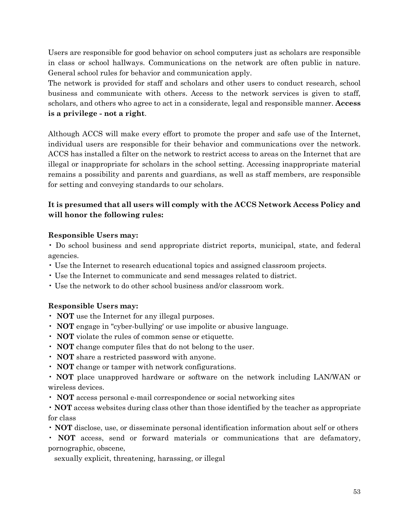Users are responsible for good behavior on school computers just as scholars are responsible in class or school hallways. Communications on the network are often public in nature. General school rules for behavior and communication apply.

The network is provided for staff and scholars and other users to conduct research, school business and communicate with others. Access to the network services is given to staff, scholars, and others who agree to act in a considerate, legal and responsible manner. **Access is a privilege - not a right**.

Although ACCS will make every effort to promote the proper and safe use of the Internet, individual users are responsible for their behavior and communications over the network. ACCS has installed a filter on the network to restrict access to areas on the Internet that are illegal or inappropriate for scholars in the school setting. Accessing inappropriate material remains a possibility and parents and guardians, as well as staff members, are responsible for setting and conveying standards to our scholars.

## **It is presumed that all users will comply with the ACCS Network Access Policy and will honor the following rules:**

### **Responsible Users may:**

• Do school business and send appropriate district reports, municipal, state, and federal agencies.

- Use the Internet to research educational topics and assigned classroom projects.
- Use the Internet to communicate and send messages related to district.
- Use the network to do other school business and/or classroom work.

### **Responsible Users may:**

- **NOT** use the Internet for any illegal purposes.
- **NOT** engage in "cyber-bullying' or use impolite or abusive language.
- **NOT** violate the rules of common sense or etiquette.
- **NOT** change computer files that do not belong to the user.
- **NOT** share a restricted password with anyone.
- **NOT** change or tamper with network configurations.
- **NOT** place unapproved hardware or software on the network including LAN/WAN or wireless devices.
- **NOT** access personal e-mail correspondence or social networking sites
- **NOT** access websites during class other than those identified by the teacher as appropriate for class
- **NOT** disclose, use, or disseminate personal identification information about self or others

• **NOT** access, send or forward materials or communications that are defamatory, pornographic, obscene,

sexually explicit, threatening, harassing, or illegal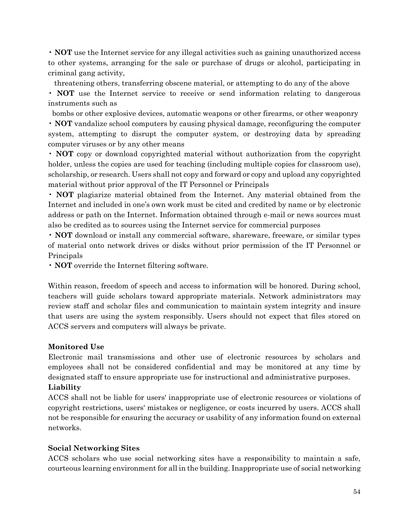• **NOT** use the Internet service for any illegal activities such as gaining unauthorized access to other systems, arranging for the sale or purchase of drugs or alcohol, participating in criminal gang activity,

threatening others, transferring obscene material, or attempting to do any of the above

• **NOT** use the Internet service to receive or send information relating to dangerous instruments such as

 bombs or other explosive devices, automatic weapons or other firearms, or other weaponry • **NOT** vandalize school computers by causing physical damage, reconfiguring the computer system, attempting to disrupt the computer system, or destroying data by spreading computer viruses or by any other means

• **NOT** copy or download copyrighted material without authorization from the copyright holder, unless the copies are used for teaching (including multiple copies for classroom use), scholarship, or research. Users shall not copy and forward or copy and upload any copyrighted material without prior approval of the IT Personnel or Principals

• **NOT** plagiarize material obtained from the Internet. Any material obtained from the Internet and included in one's own work must be cited and credited by name or by electronic address or path on the Internet. Information obtained through e-mail or news sources must also be credited as to sources using the Internet service for commercial purposes

• **NOT** download or install any commercial software, shareware, freeware, or similar types of material onto network drives or disks without prior permission of the IT Personnel or Principals

• **NOT** override the Internet filtering software.

Within reason, freedom of speech and access to information will be honored. During school, teachers will guide scholars toward appropriate materials. Network administrators may review staff and scholar files and communication to maintain system integrity and insure that users are using the system responsibly. Users should not expect that files stored on ACCS servers and computers will always be private.

### **Monitored Use**

Electronic mail transmissions and other use of electronic resources by scholars and employees shall not be considered confidential and may be monitored at any time by designated staff to ensure appropriate use for instructional and administrative purposes. **Liability**

## ACCS shall not be liable for users' inappropriate use of electronic resources or violations of copyright restrictions, users' mistakes or negligence, or costs incurred by users. ACCS shall not be responsible for ensuring the accuracy or usability of any information found on external networks.

### **Social Networking Sites**

ACCS scholars who use social networking sites have a responsibility to maintain a safe, courteous learning environment for all in the building. Inappropriate use of social networking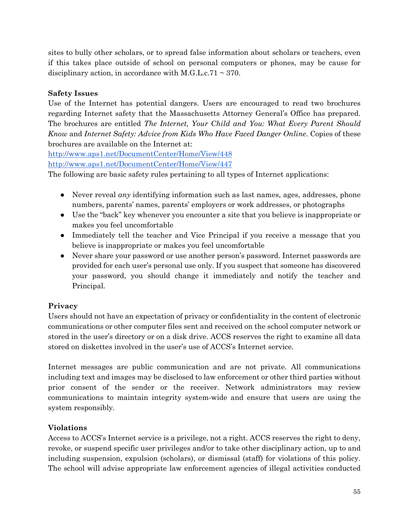sites to bully other scholars, or to spread false information about scholars or teachers, even if this takes place outside of school on personal computers or phones, may be cause for disciplinary action, in accordance with M.G.L.c.71  $\sim$  370.

## **Safety Issues**

Use of the Internet has potential dangers. Users are encouraged to read two brochures regarding Internet safety that the Massachusetts Attorney General's Office has prepared. The brochures are entitled *The Internet, Your Child and You: What Every Parent Should Know* and *Internet Safety: Advice from Kids Who Have Faced Danger Online*. Copies of these brochures are available on the Internet at:

<http://www.aps1.net/DocumentCenter/Home/View/448> <http://www.aps1.net/DocumentCenter/Home/View/447>

The following are basic safety rules pertaining to all types of Internet applications:

- Never reveal *any* identifying information such as last names, ages, addresses, phone numbers, parents' names, parents' employers or work addresses, or photographs
- Use the "back" key whenever you encounter a site that you believe is inappropriate or makes you feel uncomfortable
- Immediately tell the teacher and Vice Principal if you receive a message that you believe is inappropriate or makes you feel uncomfortable
- Never share your password or use another person's password. Internet passwords are provided for each user's personal use only. If you suspect that someone has discovered your password, you should change it immediately and notify the teacher and Principal.

## **Privacy**

Users should not have an expectation of privacy or confidentiality in the content of electronic communications or other computer files sent and received on the school computer network or stored in the user's directory or on a disk drive. ACCS reserves the right to examine all data stored on diskettes involved in the user's use of ACCS's Internet service.

Internet messages are public communication and are not private. All communications including text and images may be disclosed to law enforcement or other third parties without prior consent of the sender or the receiver. Network administrators may review communications to maintain integrity system-wide and ensure that users are using the system responsibly.

## **Violations**

Access to ACCS's Internet service is a privilege, not a right. ACCS reserves the right to deny, revoke, or suspend specific user privileges and/or to take other disciplinary action, up to and including suspension, expulsion (scholars), or dismissal (staff) for violations of this policy. The school will advise appropriate law enforcement agencies of illegal activities conducted